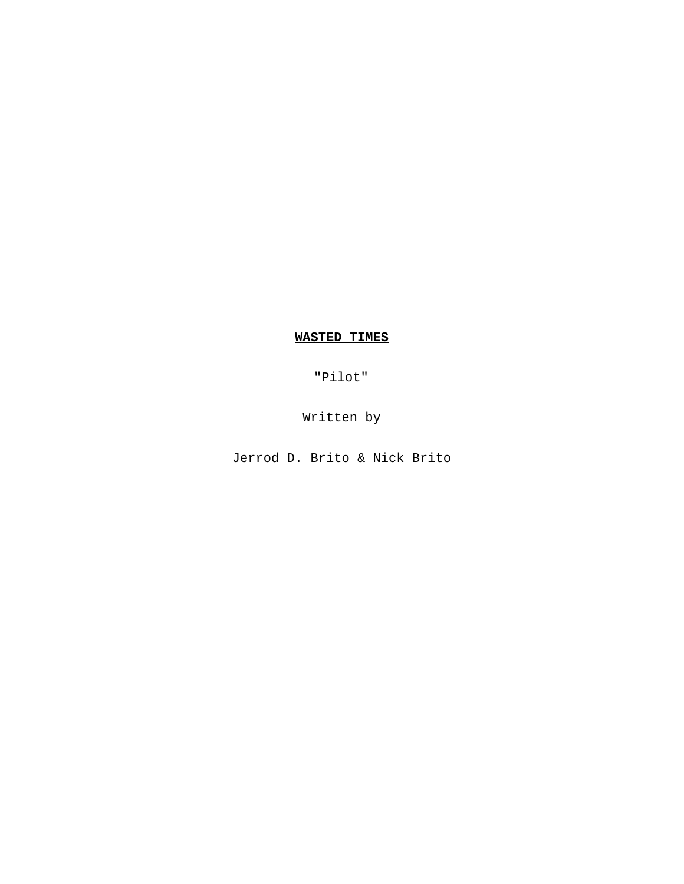# **WASTED TIMES**

"Pilot"

Written by

Jerrod D. Brito & Nick Brito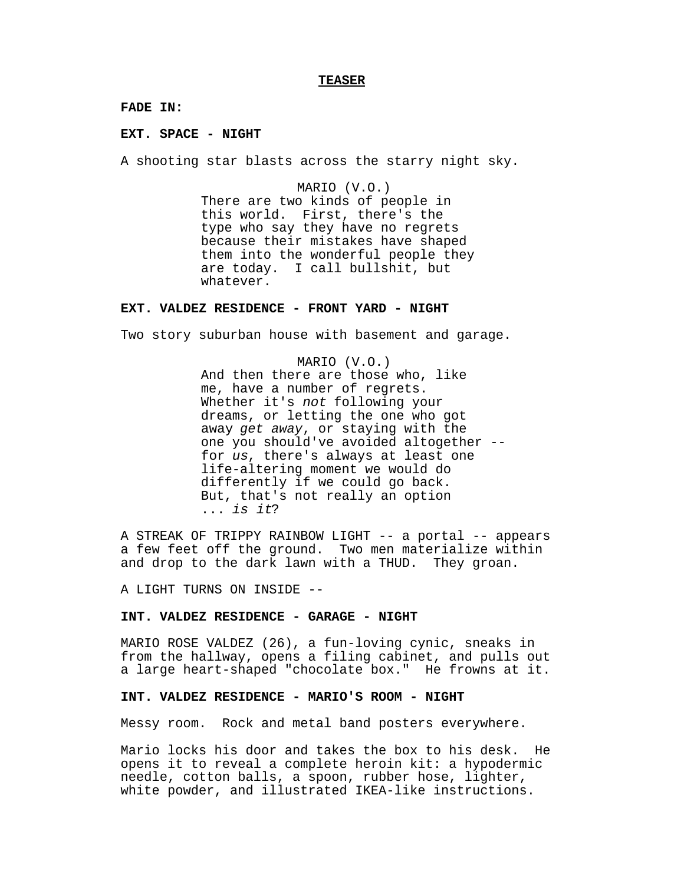#### **TEASER**

**FADE IN:**

**EXT. SPACE - NIGHT**

A shooting star blasts across the starry night sky.

MARIO (V.O.) There are two kinds of people in this world. First, there's the type who say they have no regrets because their mistakes have shaped them into the wonderful people they are today. I call bullshit, but whatever.

#### **EXT. VALDEZ RESIDENCE - FRONT YARD - NIGHT**

Two story suburban house with basement and garage.

MARIO (V.O.) And then there are those who, like me, have a number of regrets. Whether it's not following your dreams, or letting the one who got away get away, or staying with the one you should've avoided altogether - for us, there's always at least one life-altering moment we would do differently if we could go back. But, that's not really an option ... is it?

A STREAK OF TRIPPY RAINBOW LIGHT -- a portal -- appears a few feet off the ground. Two men materialize within and drop to the dark lawn with a THUD. They groan.

A LIGHT TURNS ON INSIDE --

### **INT. VALDEZ RESIDENCE - GARAGE - NIGHT**

MARIO ROSE VALDEZ (26), a fun-loving cynic, sneaks in from the hallway, opens a filing cabinet, and pulls out a large heart-shaped "chocolate box." He frowns at it.

#### **INT. VALDEZ RESIDENCE - MARIO'S ROOM - NIGHT**

Messy room. Rock and metal band posters everywhere.

Mario locks his door and takes the box to his desk. He opens it to reveal a complete heroin kit: a hypodermic needle, cotton balls, a spoon, rubber hose, lighter, white powder, and illustrated IKEA-like instructions.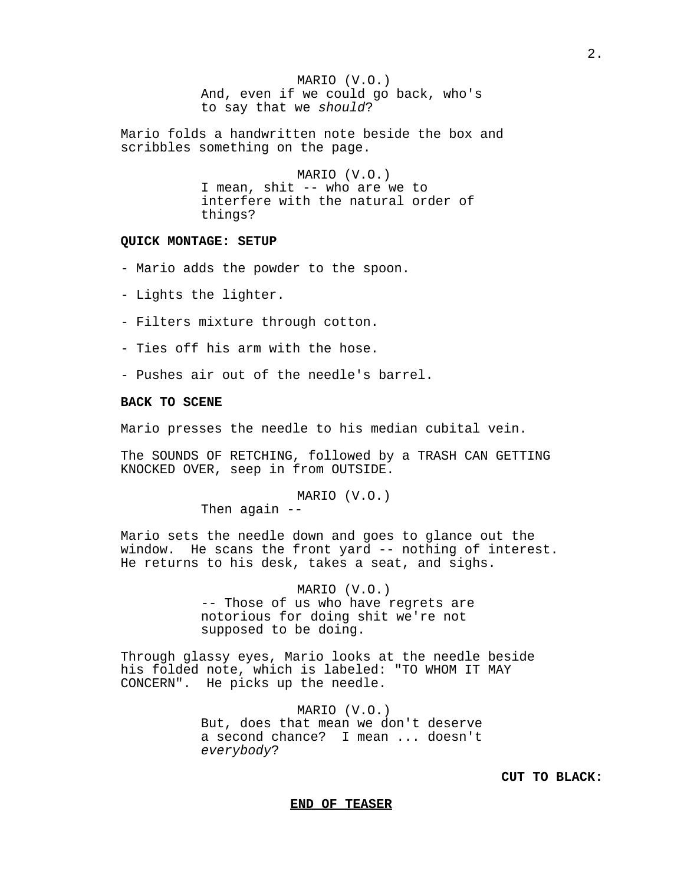MARIO (V.O.) And, even if we could go back, who's to say that we should?

Mario folds a handwritten note beside the box and scribbles something on the page.

> MARIO (V.O.) I mean, shit -- who are we to interfere with the natural order of things?

#### **QUICK MONTAGE: SETUP**

- Mario adds the powder to the spoon.

- Lights the lighter.

- Filters mixture through cotton.
- Ties off his arm with the hose.
- Pushes air out of the needle's barrel.

# **BACK TO SCENE**

Mario presses the needle to his median cubital vein.

The SOUNDS OF RETCHING, followed by a TRASH CAN GETTING KNOCKED OVER, seep in from OUTSIDE.

> MARIO (V.O.) Then again  $-$

Mario sets the needle down and goes to glance out the window. He scans the front yard -- nothing of interest. He returns to his desk, takes a seat, and sighs.

> MARIO (V.O.) -- Those of us who have regrets are notorious for doing shit we're not supposed to be doing.

Through glassy eyes, Mario looks at the needle beside his folded note, which is labeled: "TO WHOM IT MAY CONCERN". He picks up the needle.

> MARIO (V.O.) But, does that mean we don't deserve a second chance? I mean ... doesn't everybody?

> > **CUT TO BLACK:**

#### **END OF TEASER**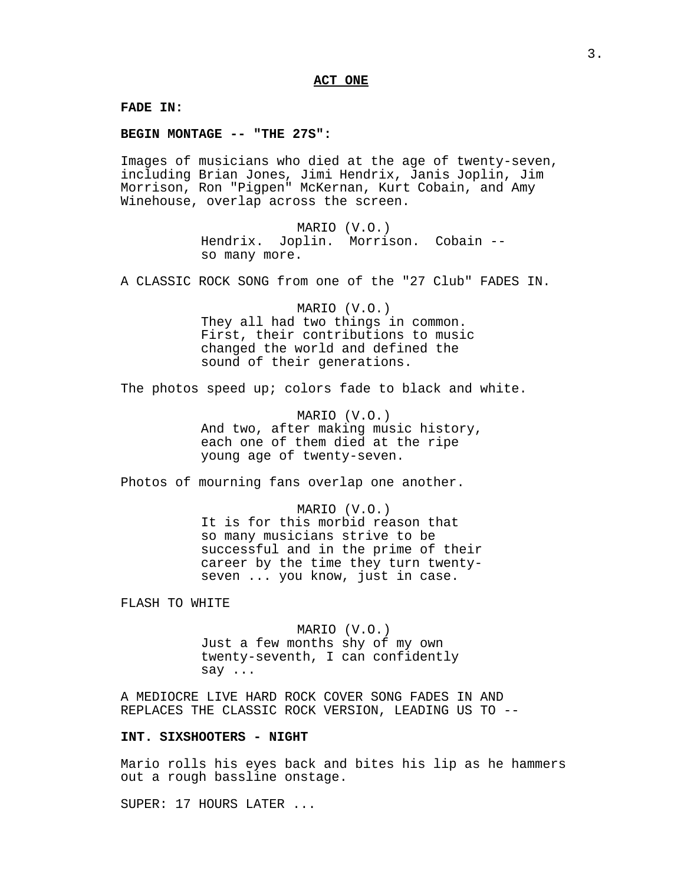**FADE IN:**

**BEGIN MONTAGE -- "THE 27S":**

Images of musicians who died at the age of twenty-seven, including Brian Jones, Jimi Hendrix, Janis Joplin, Jim Morrison, Ron "Pigpen" McKernan, Kurt Cobain, and Amy Winehouse, overlap across the screen.

> MARIO (V.O.) Hendrix. Joplin. Morrison. Cobain - so many more.

A CLASSIC ROCK SONG from one of the "27 Club" FADES IN.

MARIO (V.O.) They all had two things in common. First, their contributions to music changed the world and defined the sound of their generations.

The photos speed up; colors fade to black and white.

MARIO (V.O.) And two, after making music history, each one of them died at the ripe young age of twenty-seven.

Photos of mourning fans overlap one another.

MARIO (V.O.) It is for this morbid reason that so many musicians strive to be successful and in the prime of their career by the time they turn twentyseven ... you know, just in case.

FLASH TO WHITE

MARIO (V.O.) Just a few months shy of my own twenty-seventh, I can confidently say ...

A MEDIOCRE LIVE HARD ROCK COVER SONG FADES IN AND REPLACES THE CLASSIC ROCK VERSION, LEADING US TO --

# **INT. SIXSHOOTERS - NIGHT**

Mario rolls his eyes back and bites his lip as he hammers out a rough bassline onstage.

SUPER: 17 HOURS LATER ...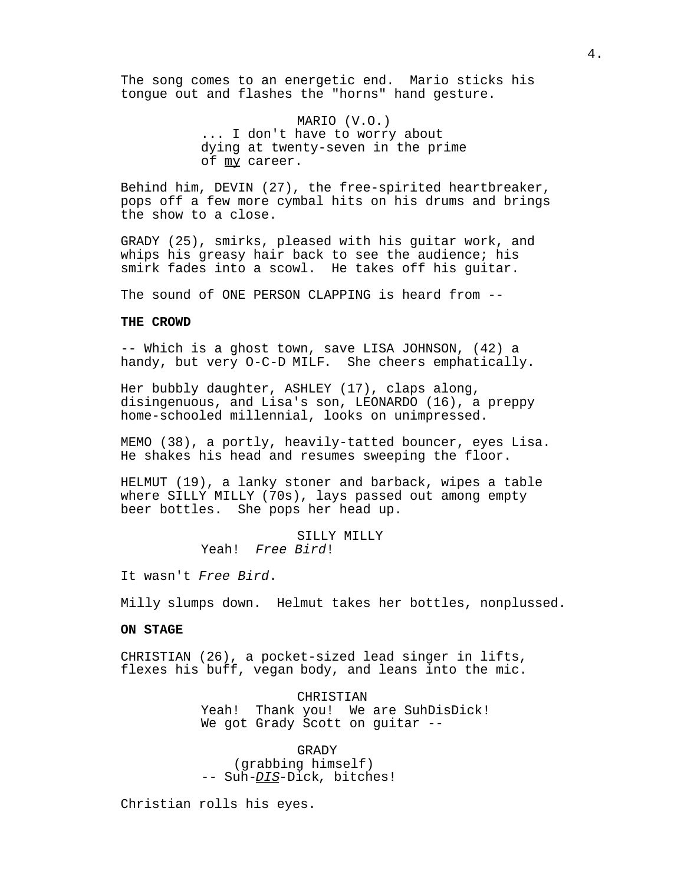The song comes to an energetic end. Mario sticks his tongue out and flashes the "horns" hand gesture.

> MARIO (V.O.) ... I don't have to worry about dying at twenty-seven in the prime of my career.

Behind him, DEVIN (27), the free-spirited heartbreaker, pops off a few more cymbal hits on his drums and brings the show to a close.

GRADY (25), smirks, pleased with his guitar work, and whips his greasy hair back to see the audience; his smirk fades into a scowl. He takes off his guitar.

The sound of ONE PERSON CLAPPING is heard from --

## **THE CROWD**

-- Which is a ghost town, save LISA JOHNSON, (42) a handy, but very O-C-D MILF. She cheers emphatically.

Her bubbly daughter, ASHLEY (17), claps along, disingenuous, and Lisa's son, LEONARDO (16), a preppy home-schooled millennial, looks on unimpressed.

MEMO (38), a portly, heavily-tatted bouncer, eyes Lisa. He shakes his head and resumes sweeping the floor.

HELMUT (19), a lanky stoner and barback, wipes a table where SILLY MILLY (70s), lays passed out among empty beer bottles. She pops her head up.

> SILLY MILLY Yeah! Free Bird!

It wasn't Free Bird.

Milly slumps down. Helmut takes her bottles, nonplussed.

#### **ON STAGE**

CHRISTIAN (26), a pocket-sized lead singer in lifts, flexes his buff, vegan body, and leans into the mic.

> CHRISTIAN Yeah! Thank you! We are SuhDisDick! We got Grady Scott on guitar --

GRADY (grabbing himself) -- Suh-DIS-Dick, bitches!

Christian rolls his eyes.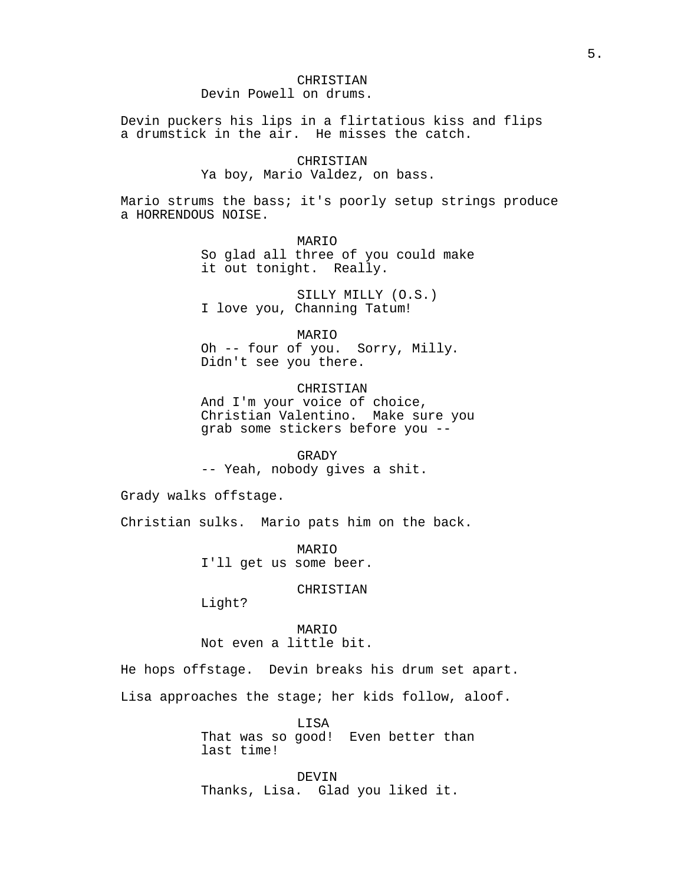# CHRISTIAN Devin Powell on drums.

Devin puckers his lips in a flirtatious kiss and flips a drumstick in the air. He misses the catch.

CHRISTIAN

# Ya boy, Mario Valdez, on bass.

Mario strums the bass; it's poorly setup strings produce a HORRENDOUS NOISE.

> MARIO So glad all three of you could make it out tonight. Really.

SILLY MILLY (O.S.) I love you, Channing Tatum!

MARIO

Oh -- four of you. Sorry, Milly. Didn't see you there.

CHRISTIAN And I'm your voice of choice, Christian Valentino. Make sure you grab some stickers before you --

GRADY

-- Yeah, nobody gives a shit.

Grady walks offstage.

Christian sulks. Mario pats him on the back.

MARIO I'll get us some beer.

CHRISTIAN

Light?

MARIO Not even a little bit.

He hops offstage. Devin breaks his drum set apart.

Lisa approaches the stage; her kids follow, aloof.

LISA That was so good! Even better than last time!

DEVIN Thanks, Lisa. Glad you liked it.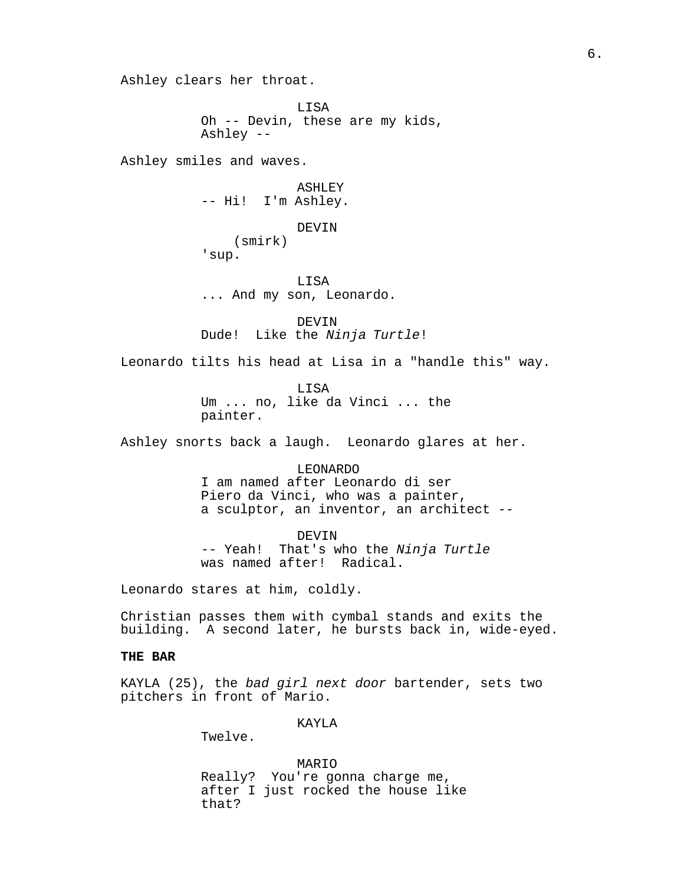Ashley clears her throat.

LISA Oh -- Devin, these are my kids, Ashley --

Ashley smiles and waves.

ASHLEY -- Hi! I'm Ashley.

DEVIN

(smirk)

'sup.

LISA ... And my son, Leonardo.

DEVIN Dude! Like the Ninja Turtle!

Leonardo tilts his head at Lisa in a "handle this" way.

LISA Um ... no, like da Vinci ... the painter.

Ashley snorts back a laugh. Leonardo glares at her.

LEONARDO I am named after Leonardo di ser Piero da Vinci, who was a painter, a sculptor, an inventor, an architect --

DEVIN -- Yeah! That's who the Ninja Turtle was named after! Radical.

Leonardo stares at him, coldly.

Christian passes them with cymbal stands and exits the building. A second later, he bursts back in, wide-eyed.

## **THE BAR**

KAYLA (25), the bad girl next door bartender, sets two pitchers in front of Mario.

KAYLA

Twelve.

MARIO Really? You're gonna charge me, after I just rocked the house like that?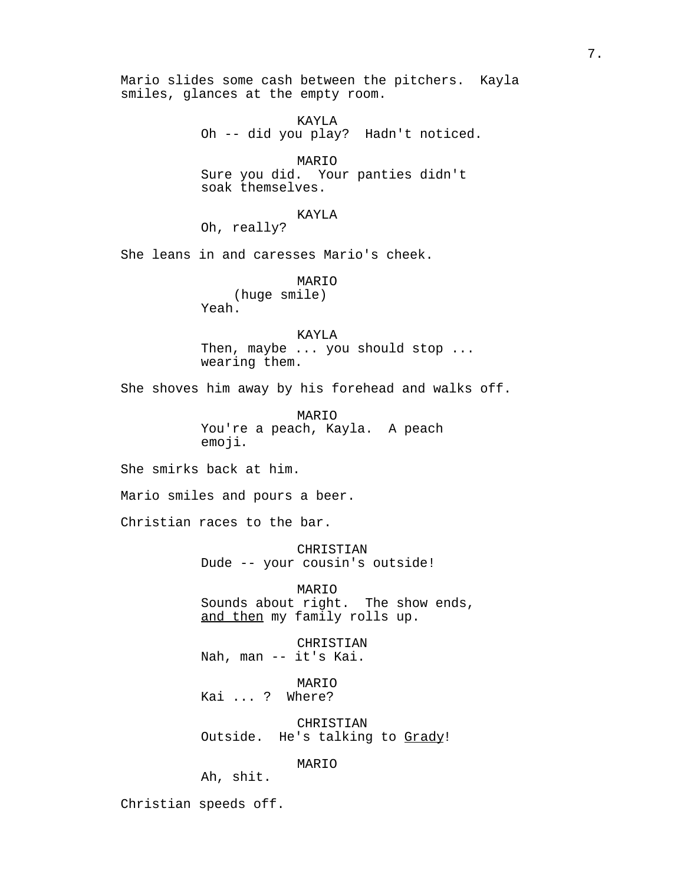Mario slides some cash between the pitchers. Kayla smiles, glances at the empty room. KAYLA Oh -- did you play? Hadn't noticed. MARIO Sure you did. Your panties didn't soak themselves. KAYLA Oh, really? She leans in and caresses Mario's cheek. MARIO (huge smile) Yeah. KAYLA Then, maybe ... you should stop ... wearing them. She shoves him away by his forehead and walks off. MARIO You're a peach, Kayla. A peach emoji. She smirks back at him. Mario smiles and pours a beer. Christian races to the bar. CHRISTIAN Dude -- your cousin's outside! MARIO Sounds about right. The show ends, and then my family rolls up. CHRISTIAN Nah, man -- it's Kai. MARIO Kai ... ? Where? CHRISTIAN Outside. He's talking to Grady! MARIO Ah, shit. Christian speeds off.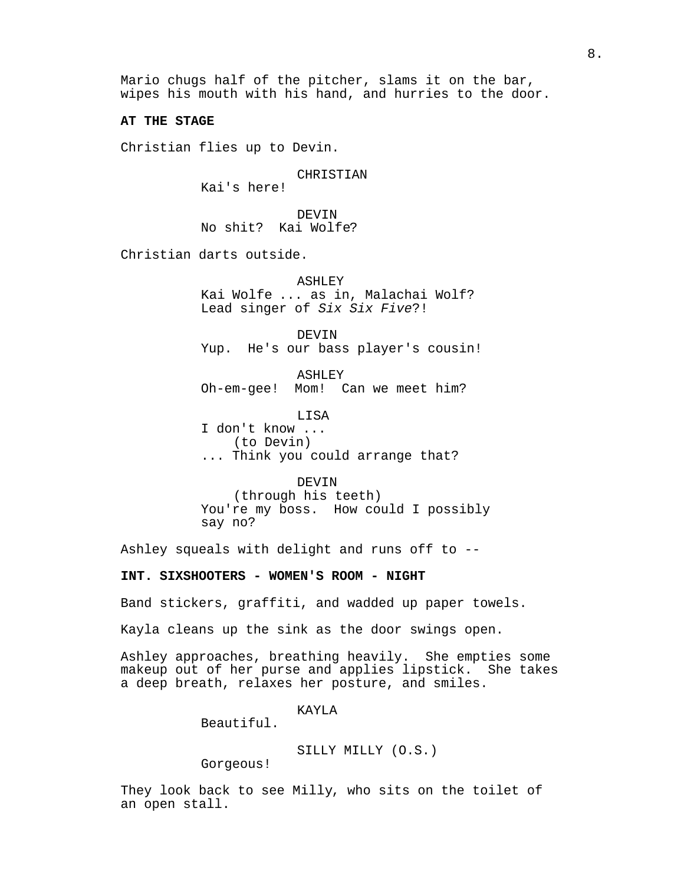Mario chugs half of the pitcher, slams it on the bar, wipes his mouth with his hand, and hurries to the door.

**AT THE STAGE**

Christian flies up to Devin.

CHRISTIAN

Kai's here!

DEVIN No shit? Kai Wolfe?

Christian darts outside.

ASHLEY Kai Wolfe ... as in, Malachai Wolf? Lead singer of Six Six Five?!

DEVIN Yup. He's our bass player's cousin!

ASHLEY Oh-em-gee! Mom! Can we meet him?

LISA

I don't know ... (to Devin) ... Think you could arrange that?

DEVIN (through his teeth) You're my boss. How could I possibly say no?

Ashley squeals with delight and runs off to --

# **INT. SIXSHOOTERS - WOMEN'S ROOM - NIGHT**

Band stickers, graffiti, and wadded up paper towels.

Kayla cleans up the sink as the door swings open.

Ashley approaches, breathing heavily. She empties some makeup out of her purse and applies lipstick. She takes a deep breath, relaxes her posture, and smiles.

KAYLA

Beautiful.

SILLY MILLY (O.S.)

Gorgeous!

They look back to see Milly, who sits on the toilet of an open stall.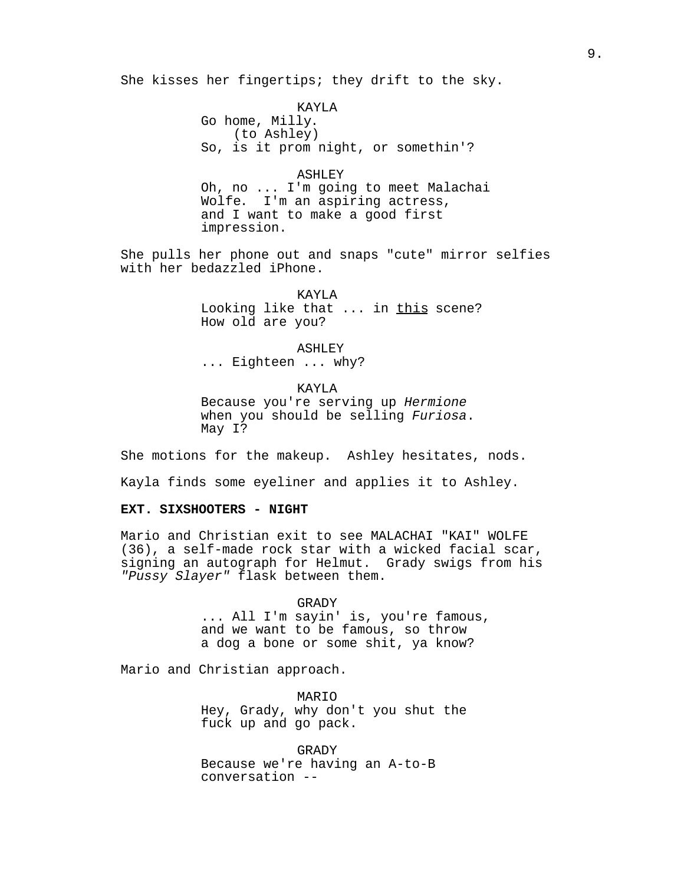She kisses her fingertips; they drift to the sky.

KAYLA Go home, Milly. (to Ashley) So, is it prom night, or somethin'?

ASHLEY Oh, no ... I'm going to meet Malachai Wolfe. I'm an aspiring actress, and I want to make a good first impression.

She pulls her phone out and snaps "cute" mirror selfies with her bedazzled iPhone.

> KAYLA Looking like that ... in this scene? How old are you?

ASHLEY ... Eighteen ... why?

KAYLA Because you're serving up Hermione when you should be selling Furiosa. May I?

She motions for the makeup. Ashley hesitates, nods.

Kayla finds some eyeliner and applies it to Ashley.

## **EXT. SIXSHOOTERS - NIGHT**

Mario and Christian exit to see MALACHAI "KAI" WOLFE (36), a self-made rock star with a wicked facial scar, signing an autograph for Helmut. Grady swigs from his "Pussy Slayer" flask between them.

> GRADY ... All I'm sayin' is, you're famous, and we want to be famous, so throw a dog a bone or some shit, ya know?

Mario and Christian approach.

MARIO Hey, Grady, why don't you shut the fuck up and go pack.

GRADY Because we're having an A-to-B conversation --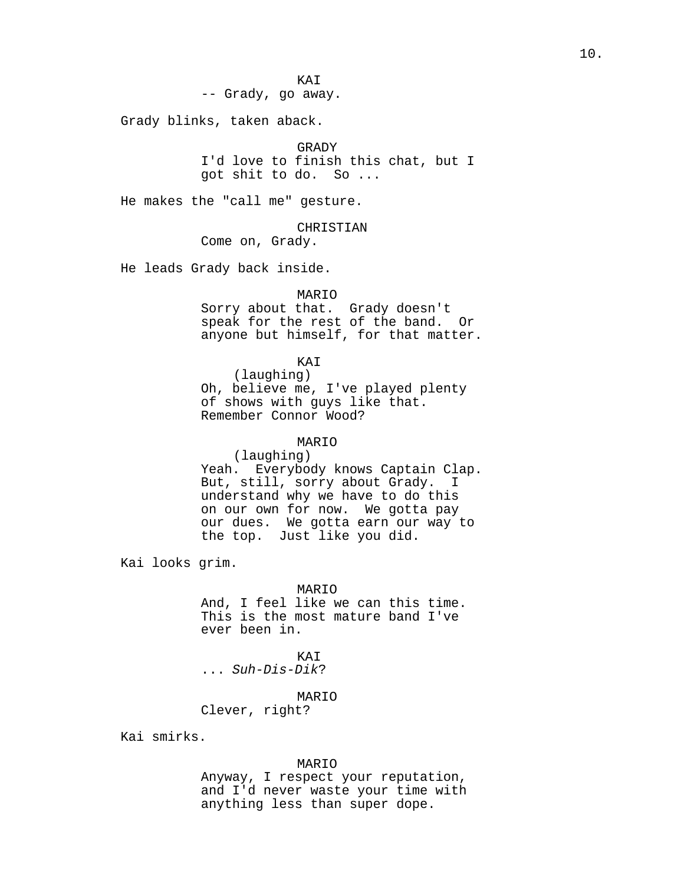KAI -- Grady, go away.

Grady blinks, taken aback.

GRADY I'd love to finish this chat, but I got shit to do. So ...

He makes the "call me" gesture.

CHRISTIAN Come on, Grady.

He leads Grady back inside.

#### MARIO

Sorry about that. Grady doesn't speak for the rest of the band. Or anyone but himself, for that matter.

#### KAI

(laughing) Oh, believe me, I've played plenty of shows with guys like that. Remember Connor Wood?

# MARIO

(laughing) Yeah. Everybody knows Captain Clap. But, still, sorry about Grady. I understand why we have to do this on our own for now. We gotta pay our dues. We gotta earn our way to the top. Just like you did.

Kai looks grim.

### MARIO

And, I feel like we can this time. This is the most mature band I've ever been in.

# KAI

... Suh-Dis-Dik?

# MARIO

Clever, right?

Kai smirks.

#### MARIO

Anyway, I respect your reputation, and I'd never waste your time with anything less than super dope.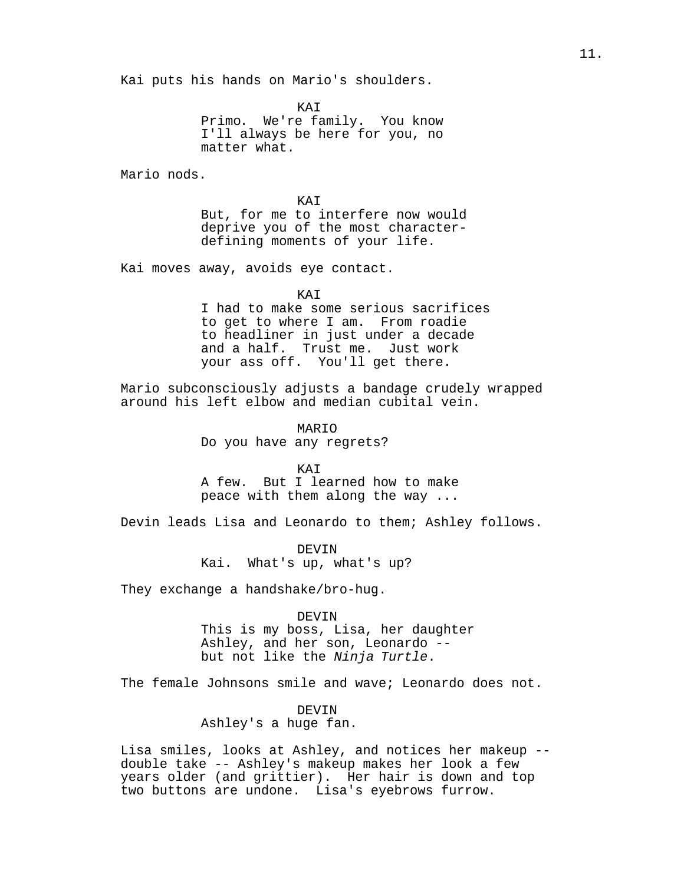Kai puts his hands on Mario's shoulders.

**KAT** 

Primo. We're family. You know I'll always be here for you, no matter what.

Mario nods.

**KAT** 

But, for me to interfere now would deprive you of the most characterdefining moments of your life.

Kai moves away, avoids eye contact.

KAI

I had to make some serious sacrifices to get to where I am. From roadie to headliner in just under a decade and a half. Trust me. Just work your ass off. You'll get there.

Mario subconsciously adjusts a bandage crudely wrapped around his left elbow and median cubital vein.

> MARIO Do you have any regrets?

**KAT** A few. But I learned how to make peace with them along the way ...

Devin leads Lisa and Leonardo to them; Ashley follows.

DEVIN Kai. What's up, what's up?

They exchange a handshake/bro-hug.

DEVIN

This is my boss, Lisa, her daughter Ashley, and her son, Leonardo - but not like the Ninja Turtle.

The female Johnsons smile and wave; Leonardo does not.

## DEVIN

Ashley's a huge fan.

Lisa smiles, looks at Ashley, and notices her makeup - double take -- Ashley's makeup makes her look a few years older (and grittier). Her hair is down and top two buttons are undone. Lisa's eyebrows furrow.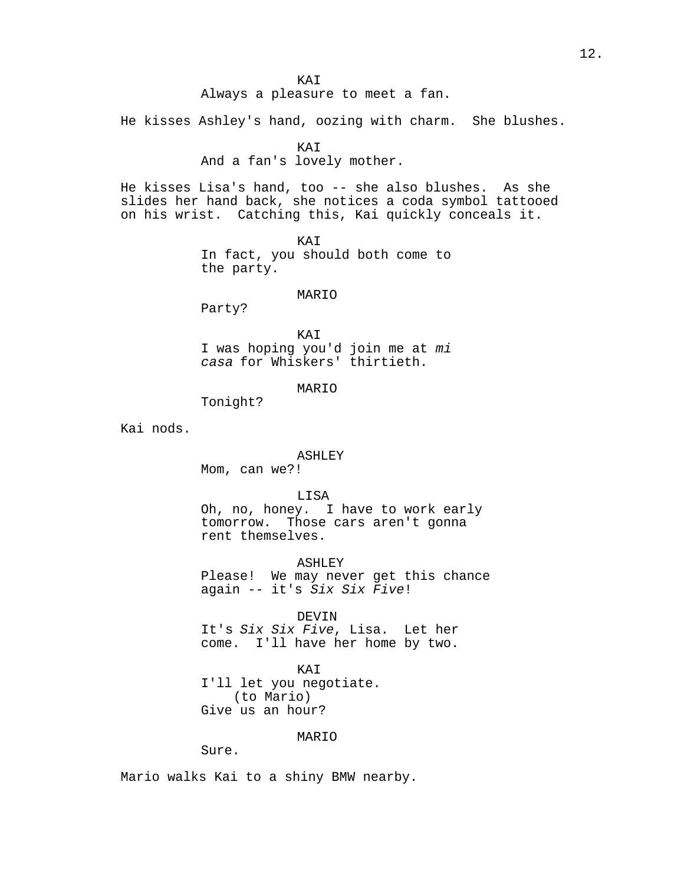Always a pleasure to meet a fan.

He kisses Ashley's hand, oozing with charm. She blushes.

KAI

And a fan's lovely mother.

He kisses Lisa's hand, too -- she also blushes. As she slides her hand back, she notices a coda symbol tattooed on his wrist. Catching this, Kai quickly conceals it.

> KAI In fact, you should both come to the party.

# MARIO

Party?

KAI I was hoping you'd join me at mi casa for Whiskers' thirtieth.

MARIO

Tonight?

Kai nods.

#### ASHLEY

Mom, can we?!

LISA

Oh, no, honey. I have to work early tomorrow. Those cars aren't gonna rent themselves.

ASHLEY Please! We may never get this chance again -- it's Six Six Five!

DEVIN

It's Six Six Five, Lisa. Let her come. I'll have her home by two.

KAI I'll let you negotiate. (to Mario) Give us an hour?

MARIO

Sure.

Mario walks Kai to a shiny BMW nearby.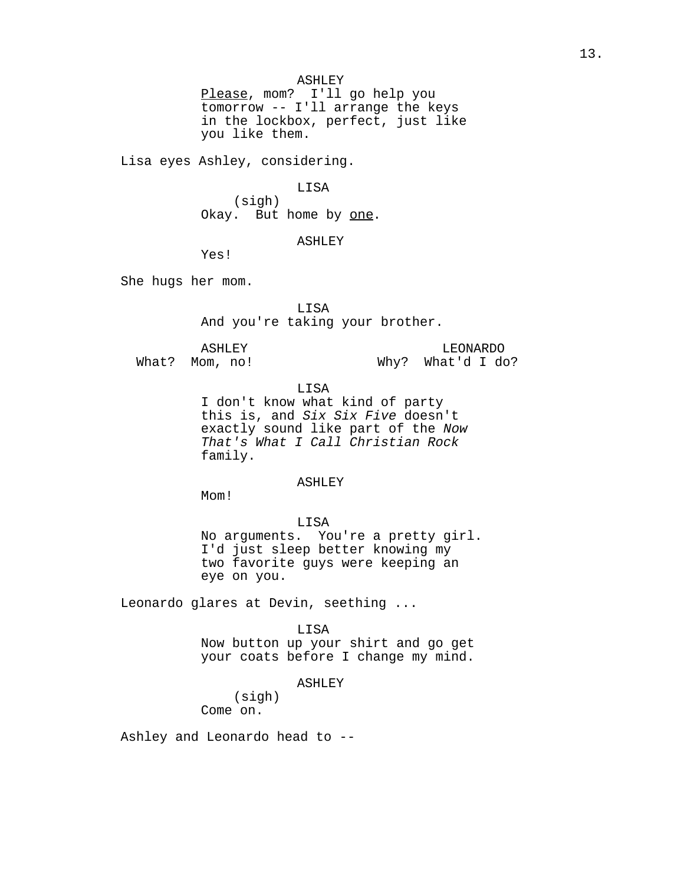ASHLEY Please, mom? I'll go help you tomorrow -- I'll arrange the keys in the lockbox, perfect, just like you like them.

Lisa eyes Ashley, considering.

# LISA

(sigh) Okay. But home by one.

# ASHLEY

Yes!

She hugs her mom.

LISA

And you're taking your brother.

ASHLEY

What? Mom, no!

LEONARDO Why? What'd I do?

LISA

I don't know what kind of party this is, and Six Six Five doesn't exactly sound like part of the Now That's What I Call Christian Rock family.

## ASHLEY

M<sub>O</sub>m!

# LISA No arguments. You're a pretty girl. I'd just sleep better knowing my two favorite guys were keeping an eye on you.

Leonardo glares at Devin, seething ...

LISA Now button up your shirt and go get your coats before I change my mind.

#### ASHLEY

(sigh) Come on.

Ashley and Leonardo head to --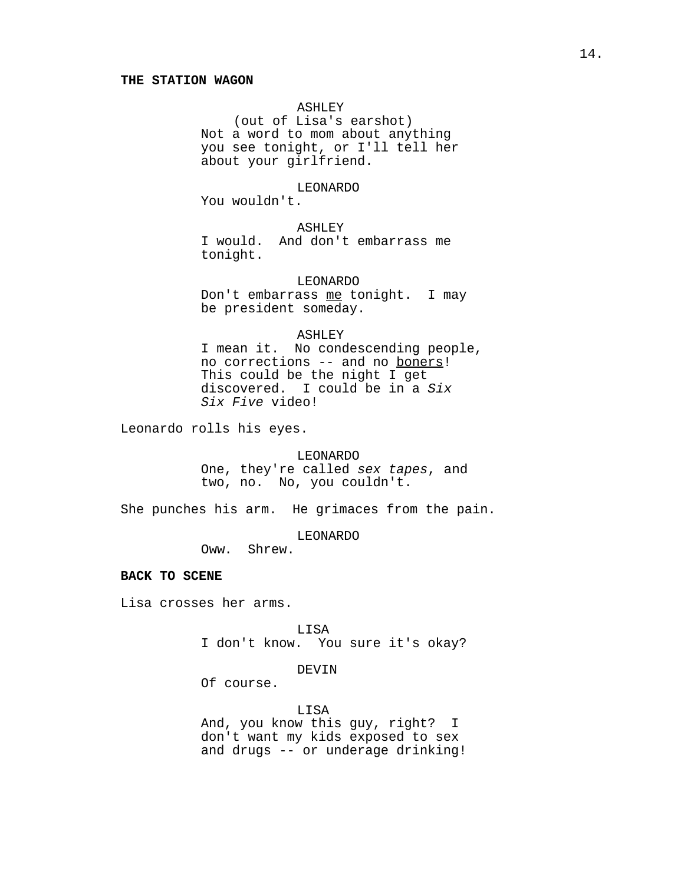# ASHLEY

(out of Lisa's earshot) Not a word to mom about anything you see tonight, or I'll tell her about your girlfriend.

#### LEONARDO

You wouldn't.

# ASHLEY

I would. And don't embarrass me tonight.

#### LEONARDO

Don't embarrass me tonight. I may be president someday.

## ASHLEY

I mean it. No condescending people, no corrections -- and no boners! This could be the night I get discovered. I could be in a Six Six Five video!

Leonardo rolls his eyes.

#### LEONARDO

One, they're called sex tapes, and two, no. No, you couldn't.

She punches his arm. He grimaces from the pain.

LEONARDO

Oww. Shrew.

## **BACK TO SCENE**

Lisa crosses her arms.

LISA I don't know. You sure it's okay?

# DEVIN

Of course.

#### LISA

And, you know this guy, right? I don't want my kids exposed to sex and drugs -- or underage drinking!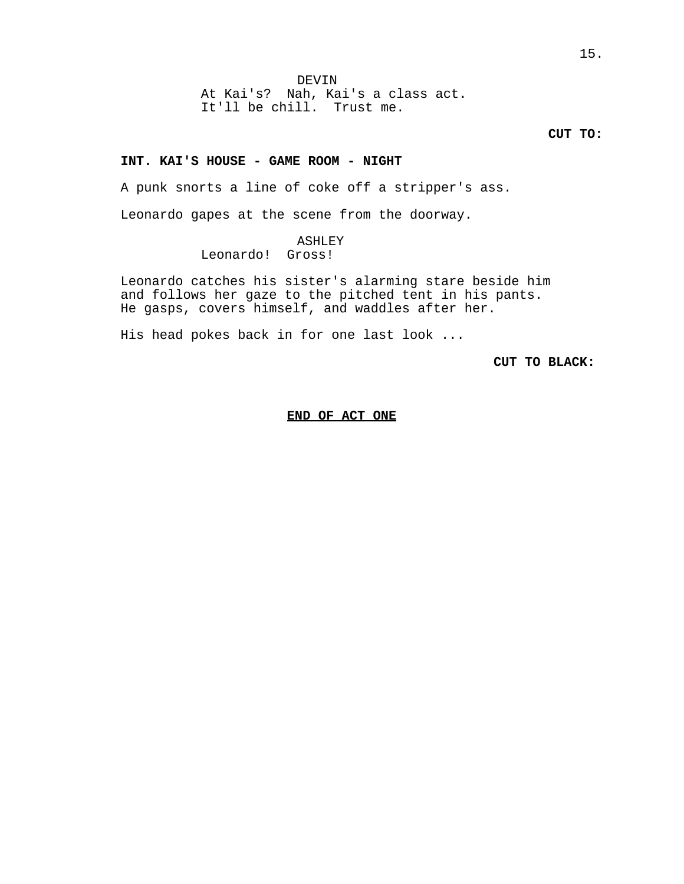At Kai's? Nah, Kai's a class act. It'll be chill. Trust me.

**CUT TO:**

# **INT. KAI'S HOUSE - GAME ROOM - NIGHT**

A punk snorts a line of coke off a stripper's ass.

Leonardo gapes at the scene from the doorway.

# ASHLEY

Leonardo! Gross!

Leonardo catches his sister's alarming stare beside him and follows her gaze to the pitched tent in his pants. He gasps, covers himself, and waddles after her.

His head pokes back in for one last look ...

**CUT TO BLACK:** 

#### **END OF ACT ONE**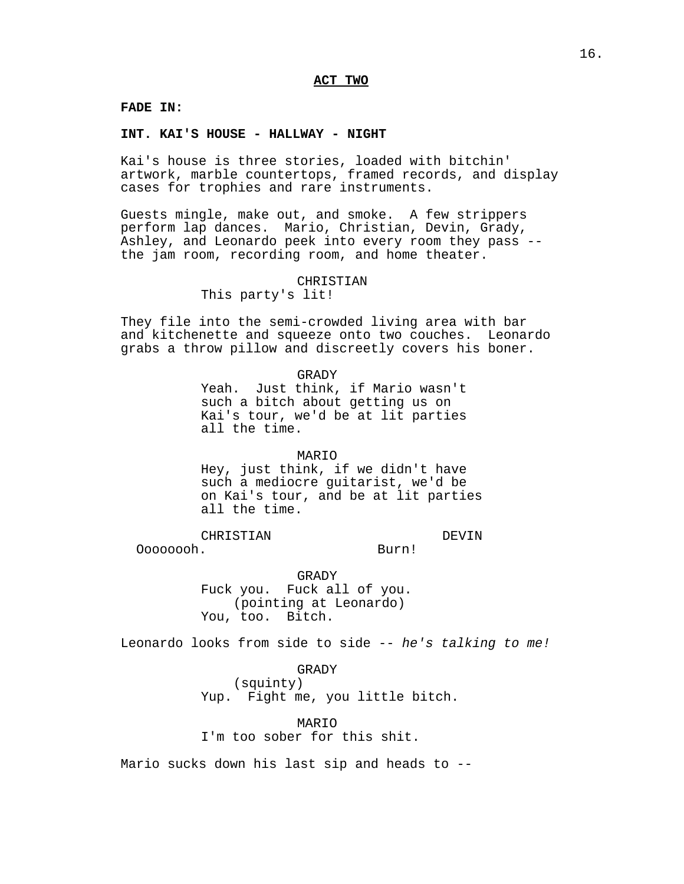# **FADE IN:**

## **INT. KAI'S HOUSE - HALLWAY - NIGHT**

Kai's house is three stories, loaded with bitchin' artwork, marble countertops, framed records, and display cases for trophies and rare instruments.

Guests mingle, make out, and smoke. A few strippers perform lap dances. Mario, Christian, Devin, Grady, Ashley, and Leonardo peek into every room they pass - the jam room, recording room, and home theater.

# CHRISTIAN

This party's lit!

They file into the semi-crowded living area with bar and kitchenette and squeeze onto two couches. Leonardo grabs a throw pillow and discreetly covers his boner.

> GRADY Yeah. Just think, if Mario wasn't such a bitch about getting us on Kai's tour, we'd be at lit parties all the time.

#### MARIO

Hey, just think, if we didn't have such a mediocre guitarist, we'd be on Kai's tour, and be at lit parties all the time.

CHRISTIAN

DEVIN

Oooooooh.

Burn!

GRADY Fuck you. Fuck all of you. (pointing at Leonardo) You, too. Bitch.

Leonardo looks from side to side -- he's talking to me!

GRADY

(squinty) Yup. Fight me, you little bitch.

MARIO I'm too sober for this shit.

Mario sucks down his last sip and heads to --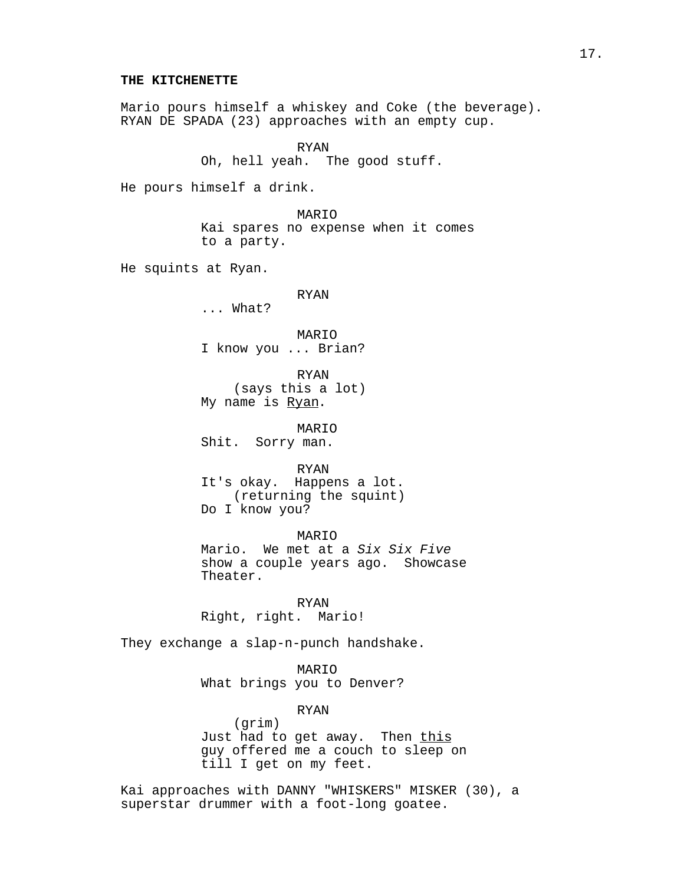#### **THE KITCHENETTE**

Mario pours himself a whiskey and Coke (the beverage). RYAN DE SPADA (23) approaches with an empty cup.

> RYAN Oh, hell yeah. The good stuff.

He pours himself a drink.

MARIO Kai spares no expense when it comes to a party.

He squints at Ryan.

# RYAN

... What?

MARIO I know you ... Brian?

RYAN (says this a lot) My name is Ryan.

MARIO Shit. Sorry man.

RYAN It's okay. Happens a lot. (returning the squint) Do I know you?

MARIO Mario. We met at a Six Six Five show a couple years ago. Showcase Theater.

RYAN Right, right. Mario!

They exchange a slap-n-punch handshake.

MARIO What brings you to Denver?

> RYAN (grim)

Just had to get away. Then this guy offered me a couch to sleep on till I get on my feet.

Kai approaches with DANNY "WHISKERS" MISKER (30), a superstar drummer with a foot-long goatee.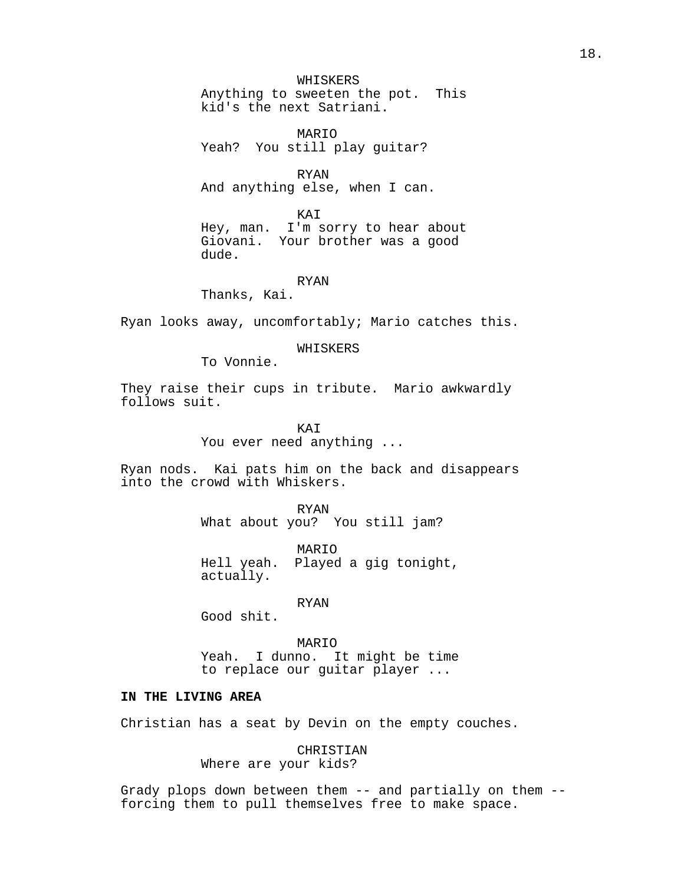## WHISKERS

Anything to sweeten the pot. This kid's the next Satriani.

MARIO Yeah? You still play guitar?

RYAN And anything else, when I can.

KAI

Hey, man. I'm sorry to hear about Giovani. Your brother was a good dude.

#### RYAN

Thanks, Kai.

Ryan looks away, uncomfortably; Mario catches this.

WHISKERS

To Vonnie.

They raise their cups in tribute. Mario awkwardly follows suit.

> **KAT** You ever need anything ...

Ryan nods. Kai pats him on the back and disappears into the crowd with Whiskers.

RYAN

What about you? You still jam?

MARIO Hell yeah. Played a gig tonight, actually.

RYAN

Good shit.

MARIO Yeah. I dunno. It might be time to replace our guitar player ...

## **IN THE LIVING AREA**

Christian has a seat by Devin on the empty couches.

CHRISTIAN Where are your kids?

Grady plops down between them -- and partially on them - forcing them to pull themselves free to make space.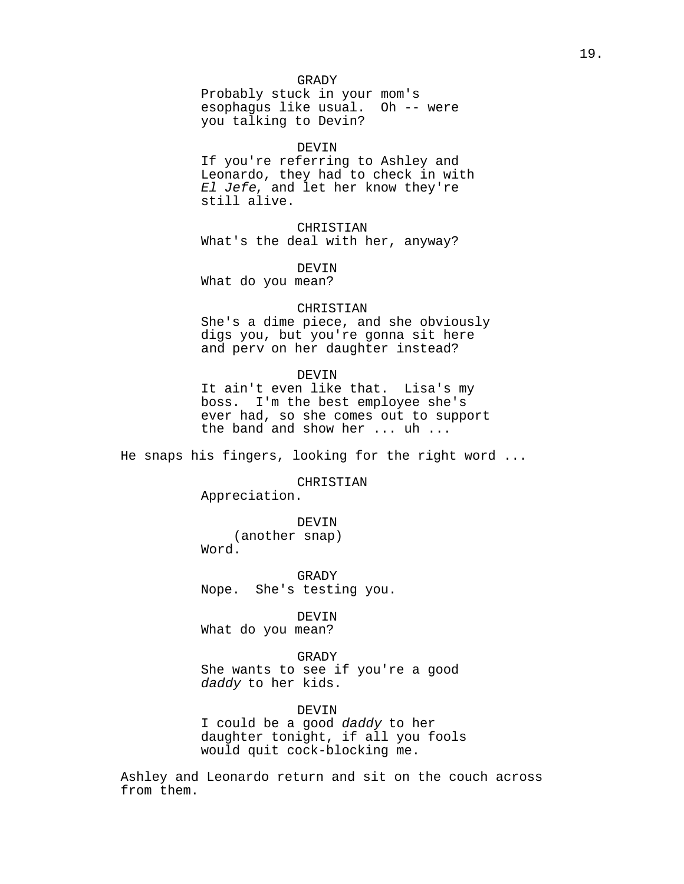# GRADY

Probably stuck in your mom's<br>esophagus like usual. Oh -- were esophagus like usual. you talking to Devin?

#### DEVIN

If you're referring to Ashley and Leonardo, they had to check in with El Jefe, and let her know they're still alive.

CHRISTIAN What's the deal with her, anyway?

DEVIN

What do you mean?

#### CHRISTIAN

She's a dime piece, and she obviously digs you, but you're gonna sit here and perv on her daughter instead?

#### DEVIN

It ain't even like that. Lisa's my boss. I'm the best employee she's ever had, so she comes out to support the band and show her ... uh ...

He snaps his fingers, looking for the right word ...

CHRISTIAN

Appreciation.

DEVIN (another snap) Word.

GRADY Nope. She's testing you.

DEVIN

What do you mean?

GRADY

She wants to see if you're a good daddy to her kids.

#### DEVIN

I could be a good daddy to her daughter tonight, if all you fools would quit cock-blocking me.

Ashley and Leonardo return and sit on the couch across from them.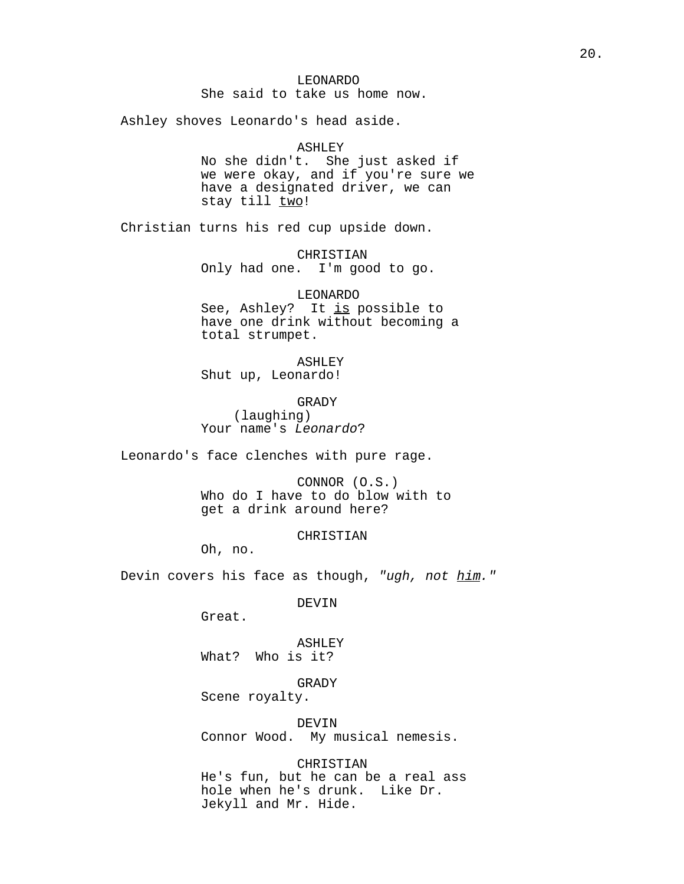# LEONARDO

She said to take us home now.

Ashley shoves Leonardo's head aside.

#### ASHLEY

No she didn't. She just asked if we were okay, and if you're sure we have a designated driver, we can stay till two!

Christian turns his red cup upside down.

CHRISTIAN

Only had one. I'm good to go.

#### LEONARDO

See, Ashley? It is possible to have one drink without becoming a total strumpet.

# ASHLEY

Shut up, Leonardo!

#### GRADY

(laughing) Your name's Leonardo?

Leonardo's face clenches with pure rage.

CONNOR (O.S.) Who do I have to do blow with to get a drink around here?

CHRISTIAN

Oh, no.

Devin covers his face as though, "ugh, not him."

DEVIN

Great.

ASHLEY What? Who is it?

GRADY

Scene royalty.

DEVIN Connor Wood. My musical nemesis.

CHRISTIAN He's fun, but he can be a real ass hole when he's drunk. Like Dr. Jekyll and Mr. Hide.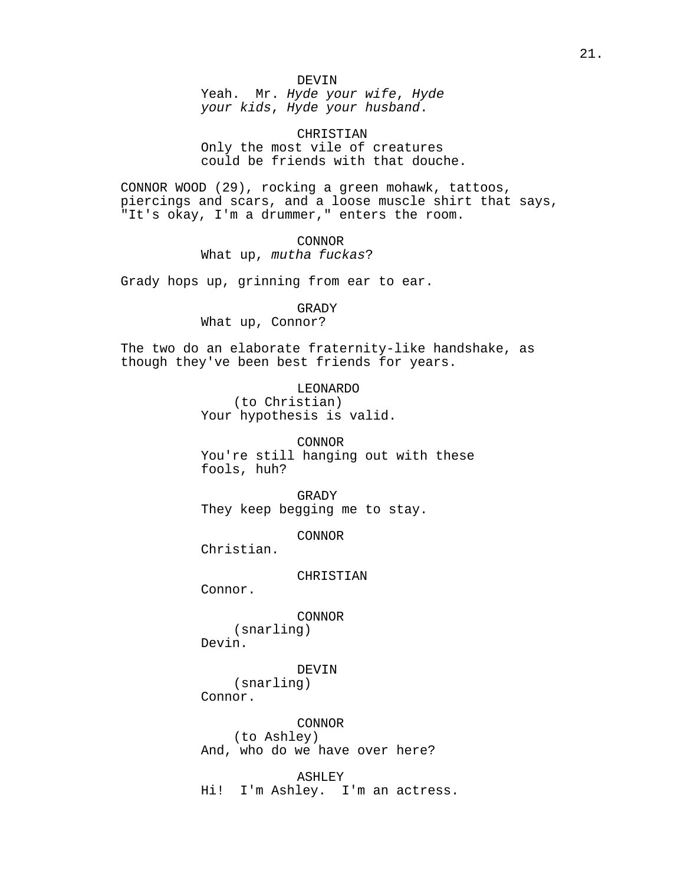Yeah. Mr. Hyde your wife, Hyde your kids, Hyde your husband.

CHRISTIAN Only the most vile of creatures could be friends with that douche.

CONNOR WOOD (29), rocking a green mohawk, tattoos, piercings and scars, and a loose muscle shirt that says, "It's okay, I'm a drummer," enters the room.

> CONNOR What up, mutha fuckas?

Grady hops up, grinning from ear to ear.

#### GRADY

What up, Connor?

The two do an elaborate fraternity-like handshake, as though they've been best friends for years.

> LEONARDO (to Christian) Your hypothesis is valid.

CONNOR You're still hanging out with these fools, huh?

GRADY They keep begging me to stay.

CONNOR

Christian.

CHRISTIAN

Connor.

CONNOR

(snarling) Devin.

## DEVIN

(snarling)

Connor.

CONNOR (to Ashley) And, who do we have over here?

ASHLEY Hi! I'm Ashley. I'm an actress.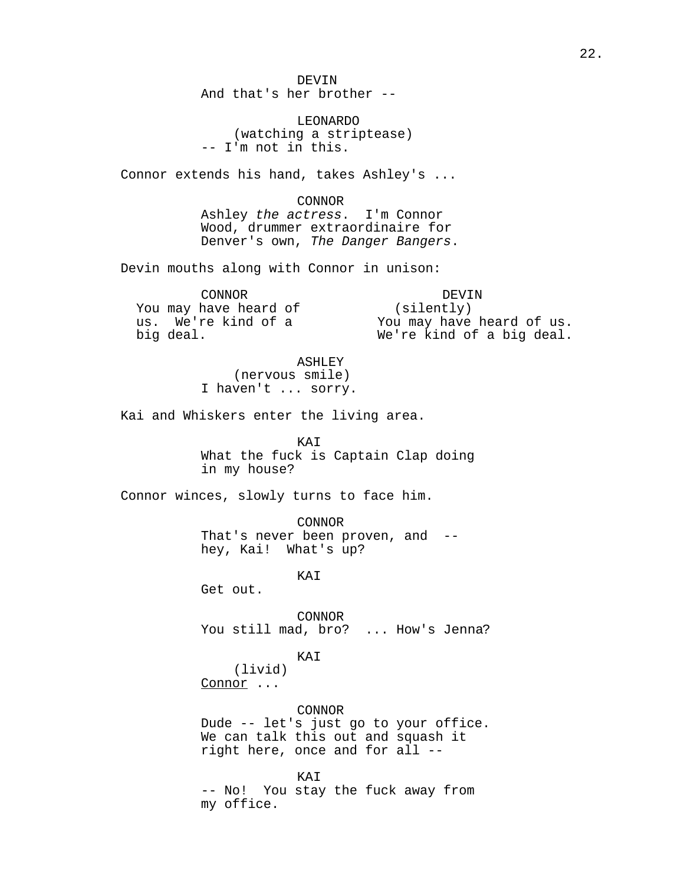DEVIN And that's her brother --

LEONARDO (watching a striptease) -- I'm not in this.

Connor extends his hand, takes Ashley's ...

CONNOR Ashley the actress. I'm Connor Wood, drummer extraordinaire for Denver's own, The Danger Bangers.

Devin mouths along with Connor in unison:

CONNOR You may have heard of us. We're kind of a big deal.

DEVIN (silently) You may have heard of us. We're kind of a big deal.

ASHLEY (nervous smile) I haven't ... sorry.

Kai and Whiskers enter the living area.

KAI What the fuck is Captain Clap doing in my house?

Connor winces, slowly turns to face him.

CONNOR That's never been proven, and - hey, Kai! What's up?

KAI

Get out.

CONNOR You still mad, bro? ... How's Jenna?

# KAI

(livid) Connor ...

CONNOR Dude -- let's just go to your office. We can talk this out and squash it right here, once and for all --

KAI -- No! You stay the fuck away from my office.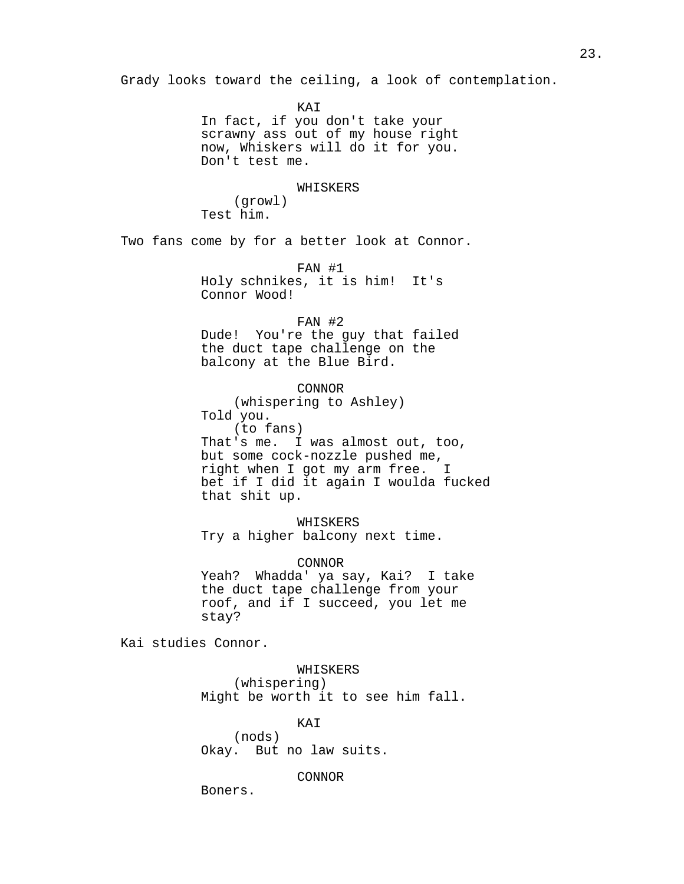Grady looks toward the ceiling, a look of contemplation.

KAI In fact, if you don't take your scrawny ass out of my house right now, Whiskers will do it for you. Don't test me.

WHISKERS

(growl) Test him.

Two fans come by for a better look at Connor.

FAN #1 Holy schnikes, it is him! It's Connor Wood!

FAN #2

Dude! You're the guy that failed the duct tape challenge on the balcony at the Blue Bird.

CONNOR

(whispering to Ashley) Told you. (to fans) That's me. I was almost out, too, but some cock-nozzle pushed me, right when I got my arm free. I bet if I did it again I woulda fucked that shit up.

WHISKERS Try a higher balcony next time.

CONNOR Yeah? Whadda' ya say, Kai? I take the duct tape challenge from your roof, and if I succeed, you let me stay?

Kai studies Connor.

WHISKERS (whispering) Might be worth it to see him fall.

KAI (nods) Okay. But no law suits.

CONNOR

Boners.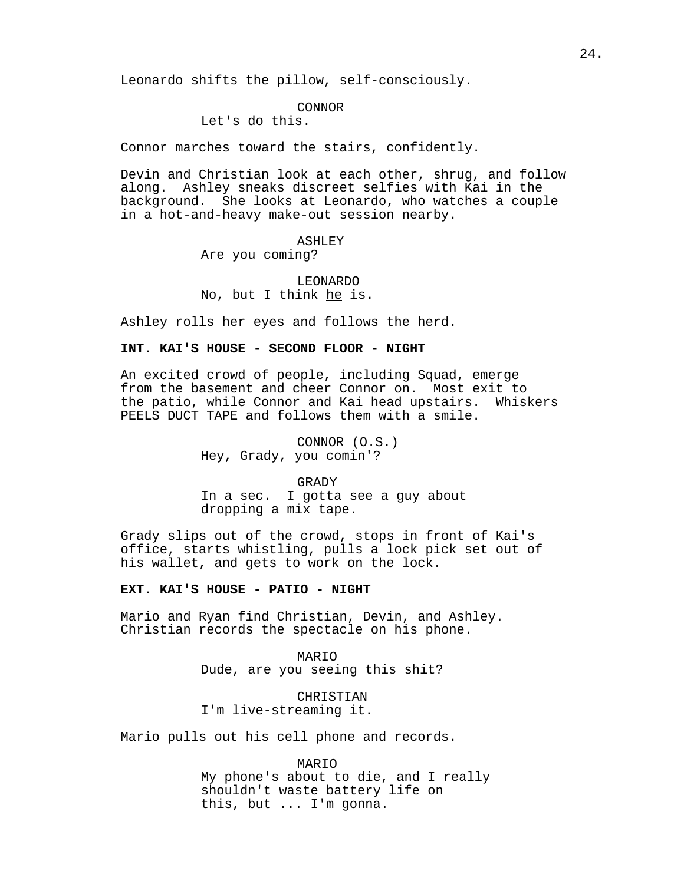Leonardo shifts the pillow, self-consciously.

## CONNOR

# Let's do this.

Connor marches toward the stairs, confidently.

Devin and Christian look at each other, shrug, and follow along. Ashley sneaks discreet selfies with Kai in the background. She looks at Leonardo, who watches a couple in a hot-and-heavy make-out session nearby.

# ASHLEY Are you coming?

LEONARDO No, but I think he is.

Ashley rolls her eyes and follows the herd.

# **INT. KAI'S HOUSE - SECOND FLOOR - NIGHT**

An excited crowd of people, including Squad, emerge from the basement and cheer Connor on. Most exit to the patio, while Connor and Kai head upstairs. Whiskers PEELS DUCT TAPE and follows them with a smile.

> CONNOR (O.S.) Hey, Grady, you comin'?

# GRADY In a sec. I gotta see a guy about dropping a mix tape.

Grady slips out of the crowd, stops in front of Kai's office, starts whistling, pulls a lock pick set out of his wallet, and gets to work on the lock.

# **EXT. KAI'S HOUSE - PATIO - NIGHT**

Mario and Ryan find Christian, Devin, and Ashley. Christian records the spectacle on his phone.

> MARIO Dude, are you seeing this shit?

CHRISTIAN I'm live-streaming it.

Mario pulls out his cell phone and records.

MARIO My phone's about to die, and I really shouldn't waste battery life on this, but ... I'm gonna.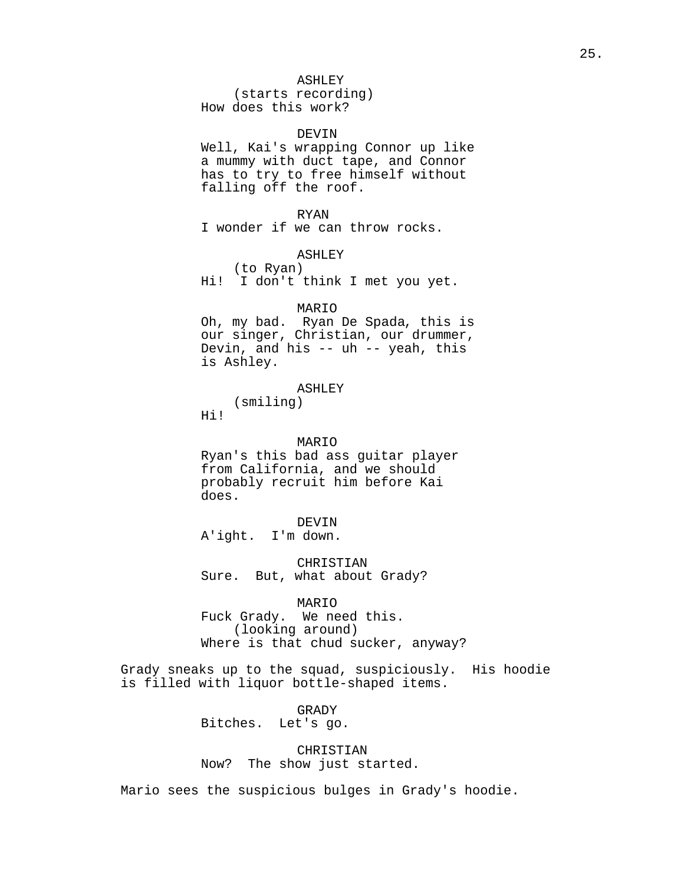## ASHLEY

(starts recording) How does this work?

#### DEVIN

Well, Kai's wrapping Connor up like a mummy with duct tape, and Connor has to try to free himself without falling off the roof.

#### RYAN

I wonder if we can throw rocks.

ASHLEY

(to Ryan) Hi! I don't think I met you yet.

#### MARIO

Oh, my bad. Ryan De Spada, this is our singer, Christian, our drummer, Devin, and his -- uh -- yeah, this is Ashley.

#### ASHLEY

(smiling) Hi!

#### MARIO

Ryan's this bad ass guitar player from California, and we should probably recruit him before Kai does.

## DEVIN

A'ight. I'm down.

CHRISTIAN Sure. But, what about Grady?

MARIO Fuck Grady. We need this. (looking around) Where is that chud sucker, anyway?

Grady sneaks up to the squad, suspiciously. His hoodie is filled with liquor bottle-shaped items.

# GRADY Bitches. Let's go.

CHRISTIAN Now? The show just started.

Mario sees the suspicious bulges in Grady's hoodie.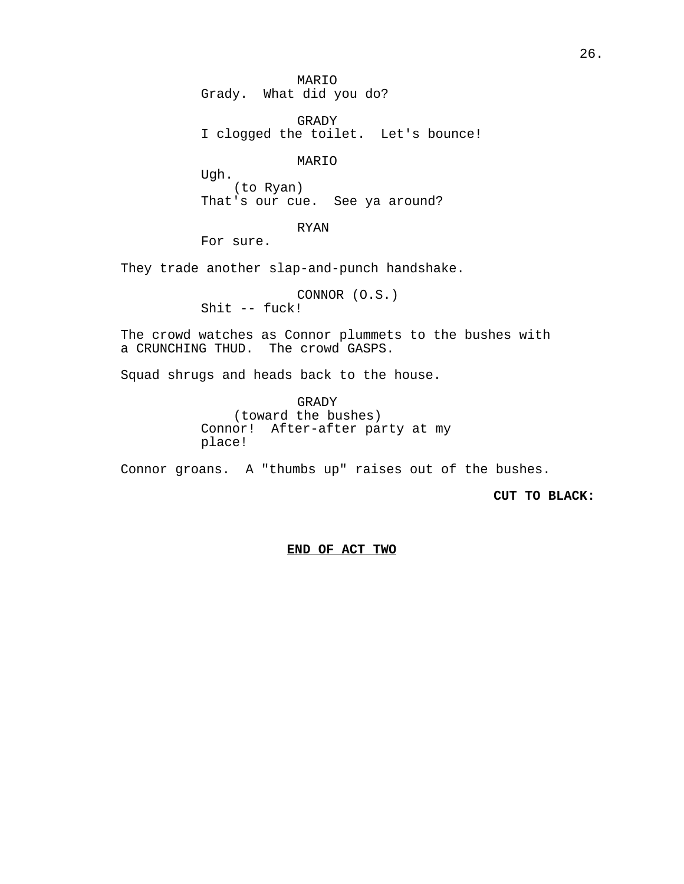MARIO Grady. What did you do?

GRADY I clogged the toilet. Let's bounce!

MARIO

Ugh. (to Ryan) That's our cue. See ya around?

RYAN

For sure.

They trade another slap-and-punch handshake.

CONNOR (O.S.) Shit -- fuck!

The crowd watches as Connor plummets to the bushes with a CRUNCHING THUD. The crowd GASPS.

Squad shrugs and heads back to the house.

GRADY (toward the bushes) Connor! After-after party at my place!

Connor groans. A "thumbs up" raises out of the bushes.

**CUT TO BLACK:** 

**END OF ACT TWO**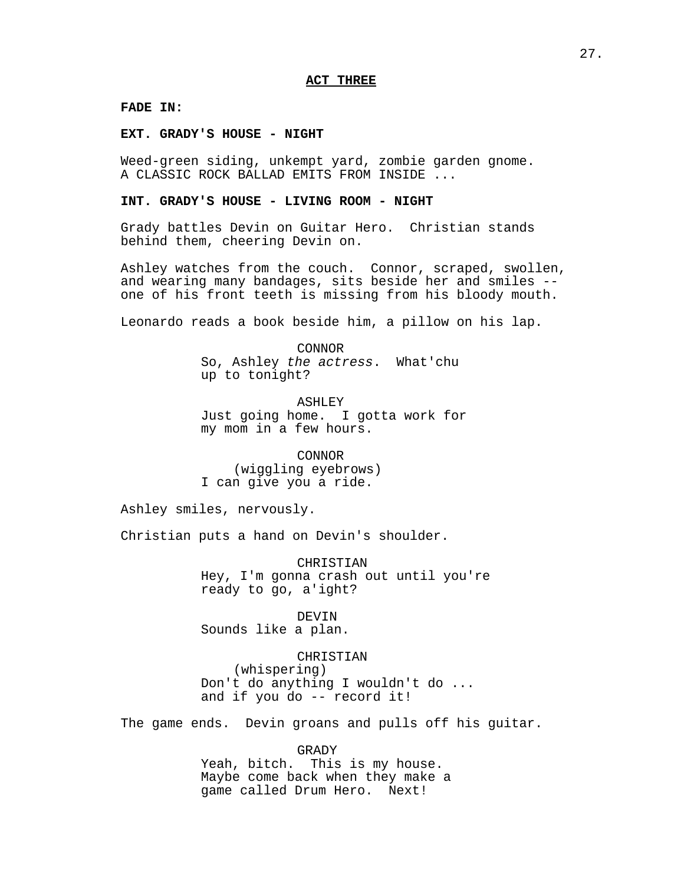**FADE IN:**

**EXT. GRADY'S HOUSE - NIGHT**

Weed-green siding, unkempt yard, zombie garden gnome. A CLASSIC ROCK BALLAD EMITS FROM INSIDE ...

#### **INT. GRADY'S HOUSE - LIVING ROOM - NIGHT**

Grady battles Devin on Guitar Hero. Christian stands behind them, cheering Devin on.

Ashley watches from the couch. Connor, scraped, swollen, and wearing many bandages, sits beside her and smiles - one of his front teeth is missing from his bloody mouth.

Leonardo reads a book beside him, a pillow on his lap.

CONNOR So, Ashley the actress. What'chu up to tonight?

ASHLEY Just going home. I gotta work for my mom in a few hours.

CONNOR (wiggling eyebrows) I can give you a ride.

Ashley smiles, nervously.

Christian puts a hand on Devin's shoulder.

CHRISTIAN Hey, I'm gonna crash out until you're ready to go, a'ight?

DEVIN Sounds like a plan.

CHRISTIAN (whispering) Don't do anything I wouldn't do ... and if you do -- record it!

The game ends. Devin groans and pulls off his guitar.

GRADY Yeah, bitch. This is my house. Maybe come back when they make a game called Drum Hero. Next!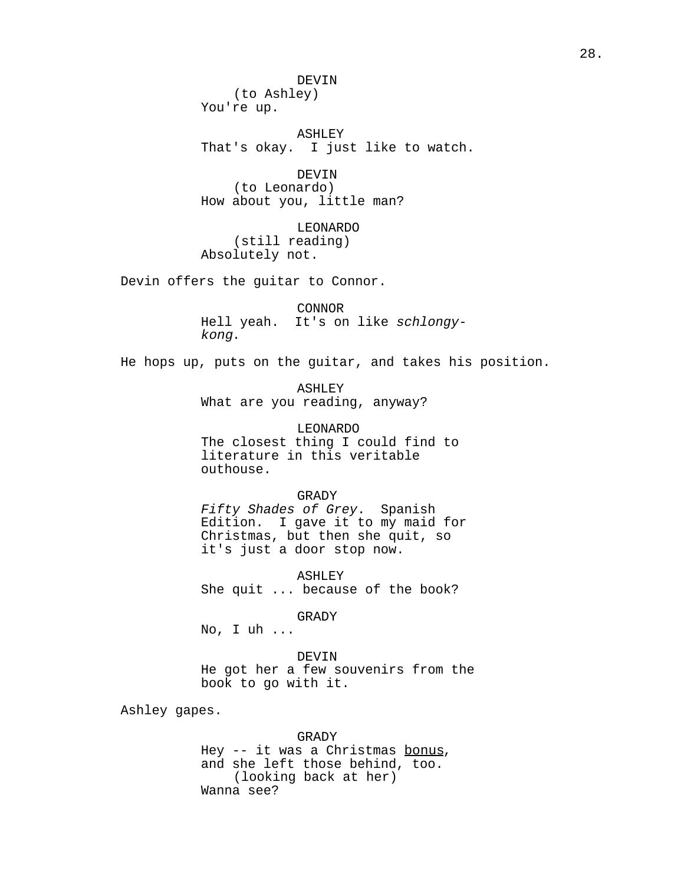DEVIN (to Ashley) You're up.

ASHLEY That's okay. I just like to watch.

DEVIN (to Leonardo) How about you, little man?

LEONARDO (still reading) Absolutely not.

Devin offers the guitar to Connor.

CONNOR Hell yeah. It's on like schlongykong.

He hops up, puts on the guitar, and takes his position.

ASHLEY What are you reading, anyway?

LEONARDO The closest thing I could find to literature in this veritable outhouse.

# GRADY

Fifty Shades of Grey. Spanish Edition. I gave it to my maid for Christmas, but then she quit, so it's just a door stop now.

ASHLEY She quit ... because of the book?

GRADY

No, I uh ...

DEVIN He got her a few souvenirs from the book to go with it.

Ashley gapes.

GRADY Hey -- it was a Christmas bonus, and she left those behind, too. (looking back at her) Wanna see?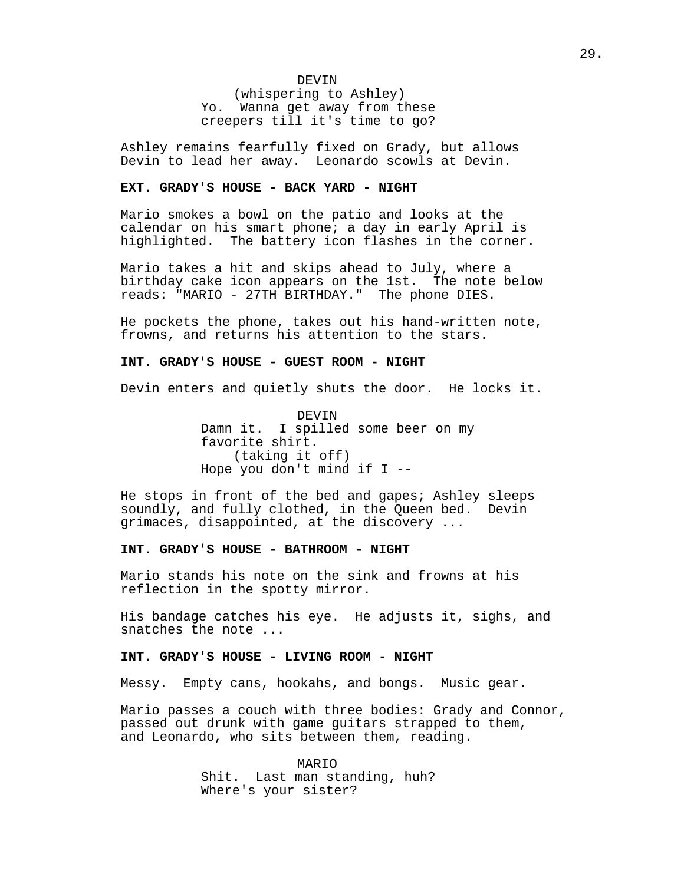DEVIN (whispering to Ashley) Yo. Wanna get away from these creepers till it's time to go?

Ashley remains fearfully fixed on Grady, but allows Devin to lead her away. Leonardo scowls at Devin.

### **EXT. GRADY'S HOUSE - BACK YARD - NIGHT**

Mario smokes a bowl on the patio and looks at the calendar on his smart phone; a day in early April is highlighted. The battery icon flashes in the corner.

Mario takes a hit and skips ahead to July, where a birthday cake icon appears on the 1st. The note below reads: "MARIO - 27TH BIRTHDAY." The phone DIES.

He pockets the phone, takes out his hand-written note, frowns, and returns his attention to the stars.

#### **INT. GRADY'S HOUSE - GUEST ROOM - NIGHT**

Devin enters and quietly shuts the door. He locks it.

DEVIN Damn it. I spilled some beer on my favorite shirt. (taking it off) Hope you don't mind if I --

He stops in front of the bed and gapes; Ashley sleeps soundly, and fully clothed, in the Queen bed. Devin grimaces, disappointed, at the discovery ...

## **INT. GRADY'S HOUSE - BATHROOM - NIGHT**

Mario stands his note on the sink and frowns at his reflection in the spotty mirror.

His bandage catches his eye. He adjusts it, sighs, and snatches the note ...

#### **INT. GRADY'S HOUSE - LIVING ROOM - NIGHT**

Messy. Empty cans, hookahs, and bongs. Music gear.

Mario passes a couch with three bodies: Grady and Connor, passed out drunk with game guitars strapped to them, and Leonardo, who sits between them, reading.

> MARIO Shit. Last man standing, huh? Where's your sister?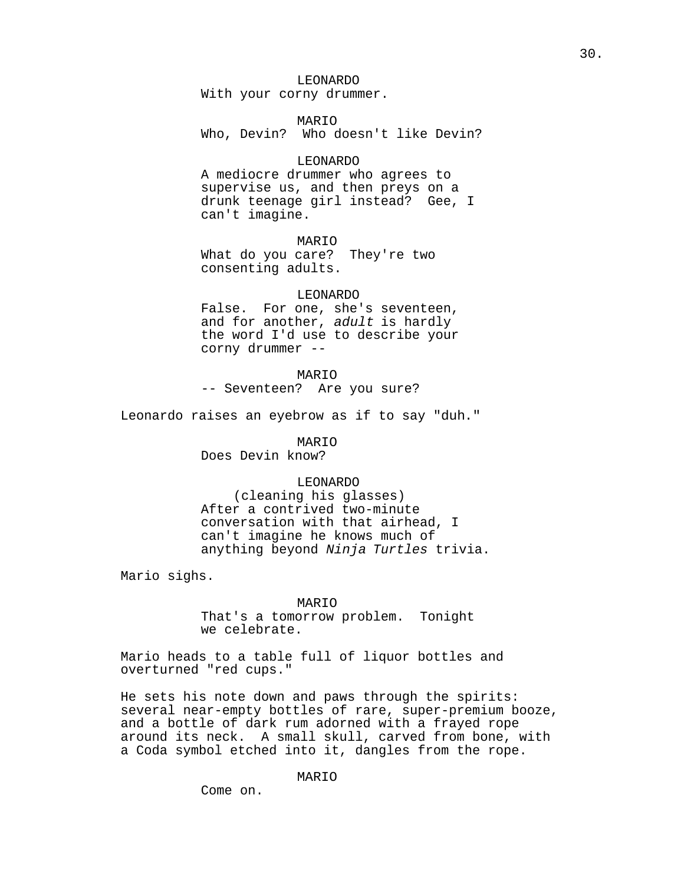LEONARDO With your corny drummer.

MARIO Who, Devin? Who doesn't like Devin?

#### LEONARDO

A mediocre drummer who agrees to supervise us, and then preys on a drunk teenage girl instead? Gee, I can't imagine.

MARIO

What do you care? They're two consenting adults.

#### LEONARDO

False. For one, she's seventeen, and for another, adult is hardly the word I'd use to describe your corny drummer --

MARIO

-- Seventeen? Are you sure?

Leonardo raises an eyebrow as if to say "duh."

MARIO

Does Devin know?

#### LEONARDO

(cleaning his glasses) After a contrived two-minute conversation with that airhead, I can't imagine he knows much of anything beyond Ninja Turtles trivia.

Mario sighs.

#### MARIO

That's a tomorrow problem. Tonight we celebrate.

Mario heads to a table full of liquor bottles and overturned "red cups."

He sets his note down and paws through the spirits: several near-empty bottles of rare, super-premium booze, and a bottle of dark rum adorned with a frayed rope around its neck. A small skull, carved from bone, with a Coda symbol etched into it, dangles from the rope.

Come on.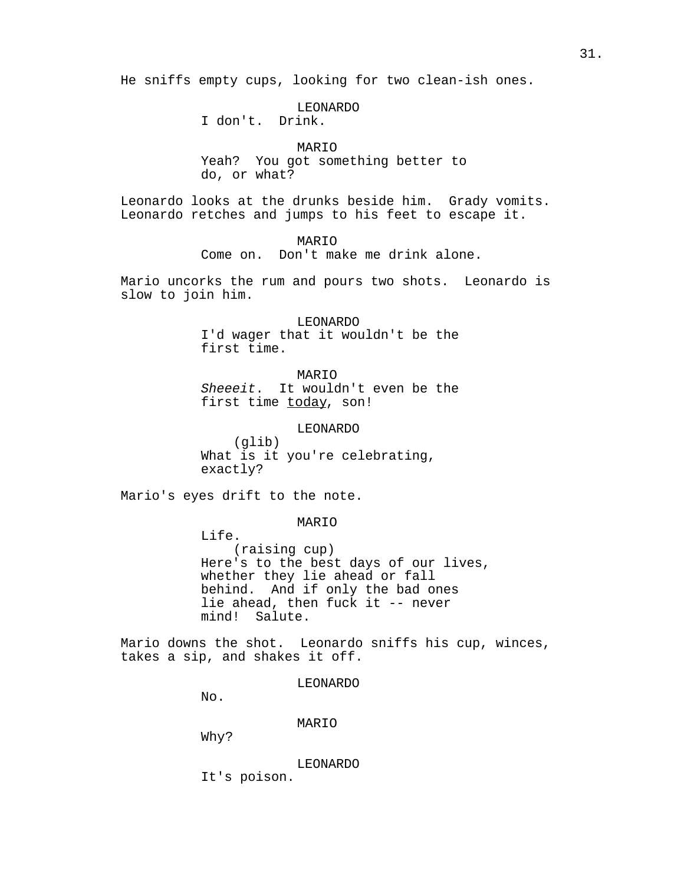He sniffs empty cups, looking for two clean-ish ones.

LEONARDO I don't. Drink.

MARIO Yeah? You got something better to do, or what?

Leonardo looks at the drunks beside him. Grady vomits. Leonardo retches and jumps to his feet to escape it.

> MARIO Come on. Don't make me drink alone.

Mario uncorks the rum and pours two shots. Leonardo is slow to join him.

> LEONARDO I'd wager that it wouldn't be the first time.

> MARIO Sheeeit. It wouldn't even be the first time today, son!

> > LEONARDO

(glib) What is it you're celebrating, exactly?

Mario's eyes drift to the note.

# MARIO

Life. (raising cup) Here's to the best days of our lives, whether they lie ahead or fall behind. And if only the bad ones lie ahead, then fuck it -- never mind! Salute.

Mario downs the shot. Leonardo sniffs his cup, winces, takes a sip, and shakes it off.

LEONARDO

No.

MARIO

Why?

LEONARDO

It's poison.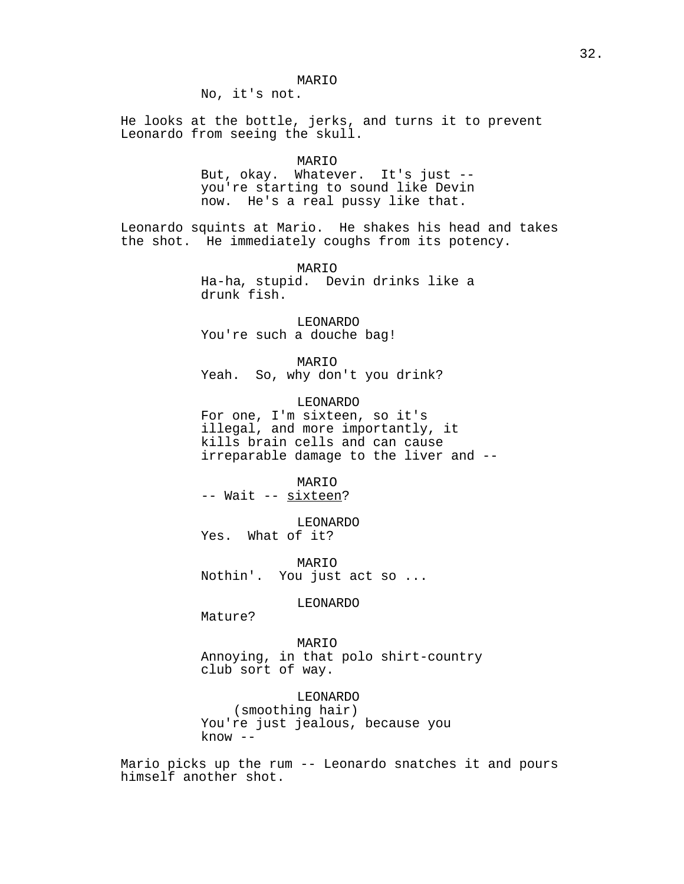# MARIO

No, it's not.

He looks at the bottle, jerks, and turns it to prevent Leonardo from seeing the skull.

MARIO

But, okay. Whatever. It's just - you're starting to sound like Devin now. He's a real pussy like that.

Leonardo squints at Mario. He shakes his head and takes the shot. He immediately coughs from its potency.

> MARIO Ha-ha, stupid. Devin drinks like a drunk fish.

LEONARDO You're such a douche bag!

MARIO

Yeah. So, why don't you drink?

LEONARDO

For one, I'm sixteen, so it's illegal, and more importantly, it kills brain cells and can cause irreparable damage to the liver and --

MARIO -- Wait -- sixteen?

LEONARDO Yes. What of it?

MARIO Nothin'. You just act so ...

LEONARDO

Mature?

MARIO Annoying, in that polo shirt-country club sort of way.

LEONARDO (smoothing hair) You're just jealous, because you know --

Mario picks up the rum -- Leonardo snatches it and pours himself another shot.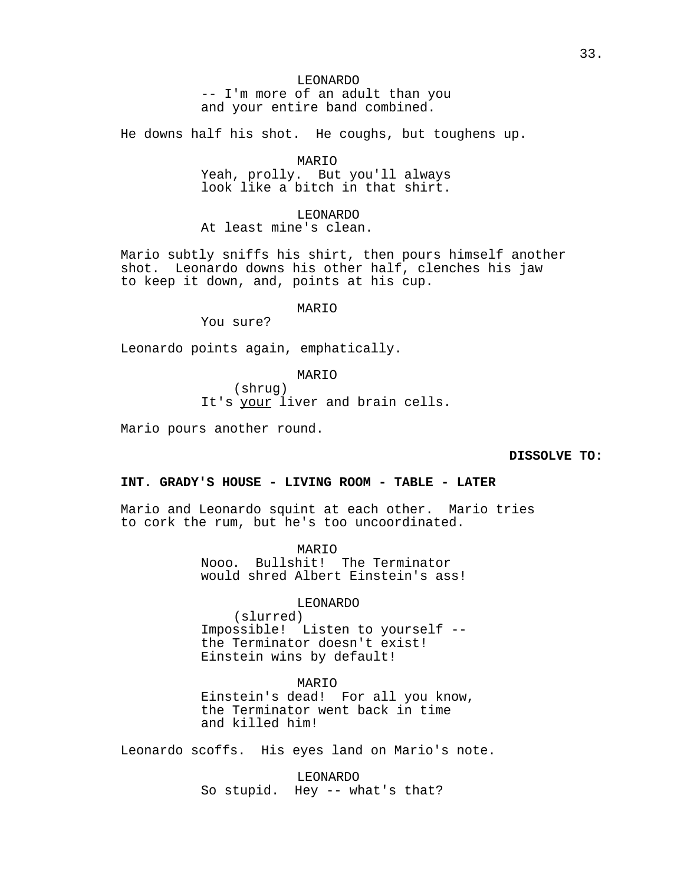# LEONARDO

-- I'm more of an adult than you and your entire band combined.

He downs half his shot. He coughs, but toughens up.

MARIO

Yeah, prolly. But you'll always look like a bitch in that shirt.

# LEONARDO

At least mine's clean.

Mario subtly sniffs his shirt, then pours himself another shot. Leonardo downs his other half, clenches his jaw to keep it down, and, points at his cup.

#### MARIO

You sure?

Leonardo points again, emphatically.

# MARIO

(shrug) It's your liver and brain cells.

Mario pours another round.

## **DISSOLVE TO:**

# **INT. GRADY'S HOUSE - LIVING ROOM - TABLE - LATER**

Mario and Leonardo squint at each other. Mario tries to cork the rum, but he's too uncoordinated.

> MARIO Nooo. Bullshit! The Terminator would shred Albert Einstein's ass!

> > LEONARDO

(slurred) Impossible! Listen to yourself - the Terminator doesn't exist! Einstein wins by default!

#### MARIO

Einstein's dead! For all you know, the Terminator went back in time and killed him!

Leonardo scoffs. His eyes land on Mario's note.

LEONARDO So stupid. Hey -- what's that?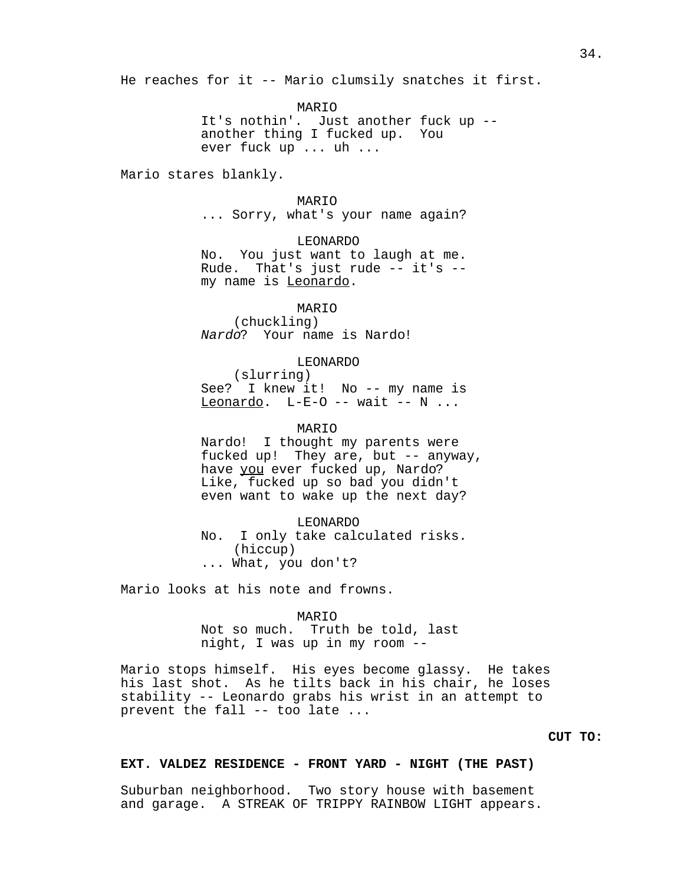He reaches for it -- Mario clumsily snatches it first.

MARIO

It's nothin'. Just another fuck up - another thing I fucked up. You ever fuck up ... uh ...

Mario stares blankly.

# MARIO

... Sorry, what's your name again?

# LEONARDO

No. You just want to laugh at me. Rude. That's just rude -- it's - my name is Leonardo.

MARIO (chuckling) Nardo? Your name is Nardo!

#### LEONARDO

(slurring) See? I knew it! No -- my name is Leonardo. L-E-O -- wait --  $N$ ...

MARIO

Nardo! I thought my parents were fucked up! They are, but -- anyway, have you ever fucked up, Nardo? Like, fucked up so bad you didn't even want to wake up the next day?

LEONARDO No. I only take calculated risks. (hiccup) ... What, you don't?

Mario looks at his note and frowns.

MARIO Not so much. Truth be told, last night, I was up in my room --

Mario stops himself. His eyes become glassy. He takes his last shot. As he tilts back in his chair, he loses stability -- Leonardo grabs his wrist in an attempt to prevent the fall -- too late ...

**CUT TO:**

# **EXT. VALDEZ RESIDENCE - FRONT YARD - NIGHT (THE PAST)**

Suburban neighborhood. Two story house with basement and garage. A STREAK OF TRIPPY RAINBOW LIGHT appears.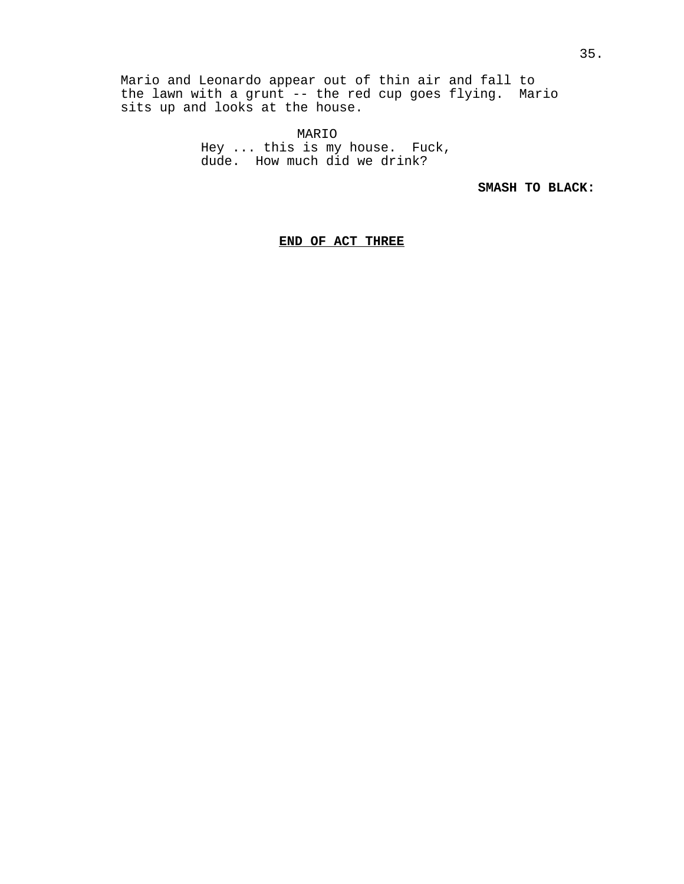Mario and Leonardo appear out of thin air and fall to the lawn with a grunt -- the red cup goes flying. Mario sits up and looks at the house.

> MARIO Hey ... this is my house. Fuck, dude. How much did we drink?

> > **SMASH TO BLACK:**

**END OF ACT THREE**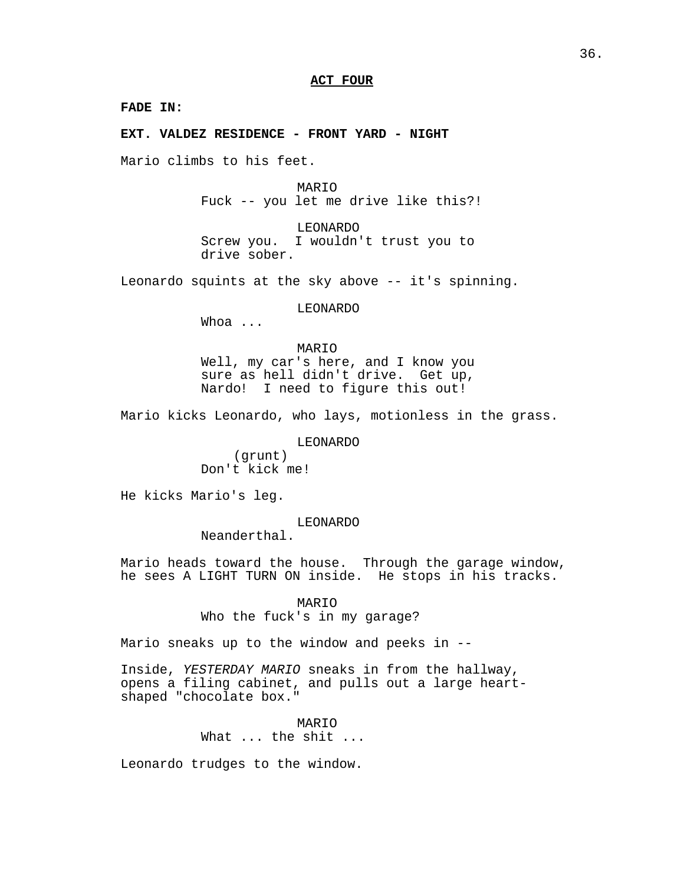# **ACT FOUR**

**FADE IN:**

**EXT. VALDEZ RESIDENCE - FRONT YARD - NIGHT**

Mario climbs to his feet.

MARIO Fuck -- you let me drive like this?!

LEONARDO Screw you. I wouldn't trust you to drive sober.

Leonardo squints at the sky above -- it's spinning.

LEONARDO

Whoa ...

MARIO Well, my car's here, and I know you sure as hell didn't drive. Get up, Nardo! I need to figure this out!

Mario kicks Leonardo, who lays, motionless in the grass.

LEONARDO

(grunt) Don't kick me!

He kicks Mario's leg.

LEONARDO

Neanderthal.

Mario heads toward the house. Through the garage window, he sees A LIGHT TURN ON inside. He stops in his tracks.

> MARIO Who the fuck's in my garage?

Mario sneaks up to the window and peeks in --

Inside, YESTERDAY MARIO sneaks in from the hallway, opens a filing cabinet, and pulls out a large heartshaped "chocolate box."

> MARIO What ... the shit ...

Leonardo trudges to the window.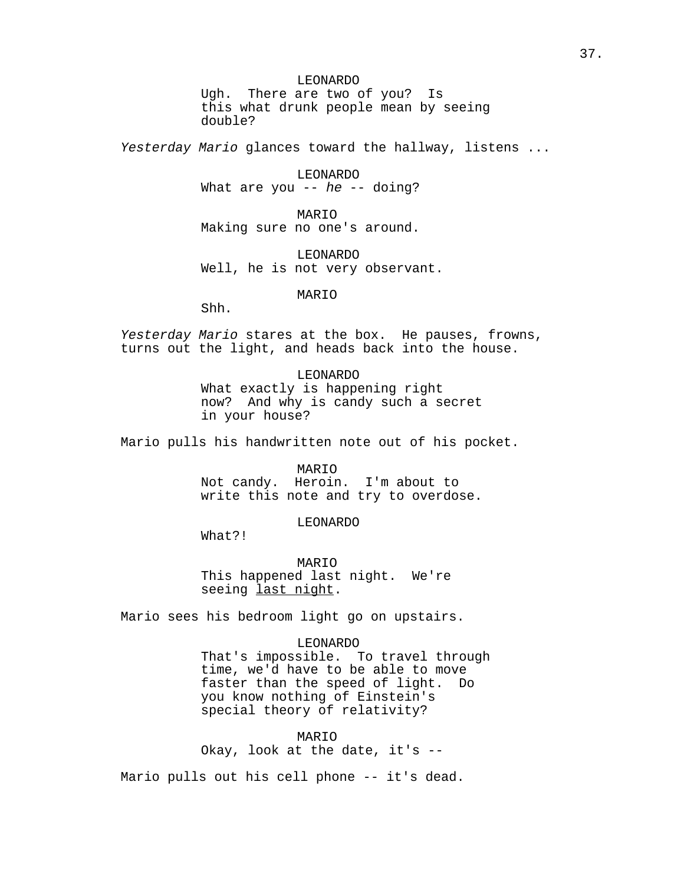## LEONARDO

Ugh. There are two of you? Is this what drunk people mean by seeing double?

Yesterday Mario glances toward the hallway, listens ...

LEONARDO What are you  $-$  he  $-$  doing?

MARIO Making sure no one's around.

LEONARDO Well, he is not very observant.

MARIO

Shh.

Yesterday Mario stares at the box. He pauses, frowns, turns out the light, and heads back into the house.

> LEONARDO What exactly is happening right now? And why is candy such a secret in your house?

Mario pulls his handwritten note out of his pocket.

MARIO Not candy. Heroin. I'm about to write this note and try to overdose.

LEONARDO

What?!

MARIO This happened last night. We're seeing last night.

Mario sees his bedroom light go on upstairs.

LEONARDO

That's impossible. To travel through time, we'd have to be able to move faster than the speed of light. Do you know nothing of Einstein's special theory of relativity?

MARIO Okay, look at the date, it's --

Mario pulls out his cell phone -- it's dead.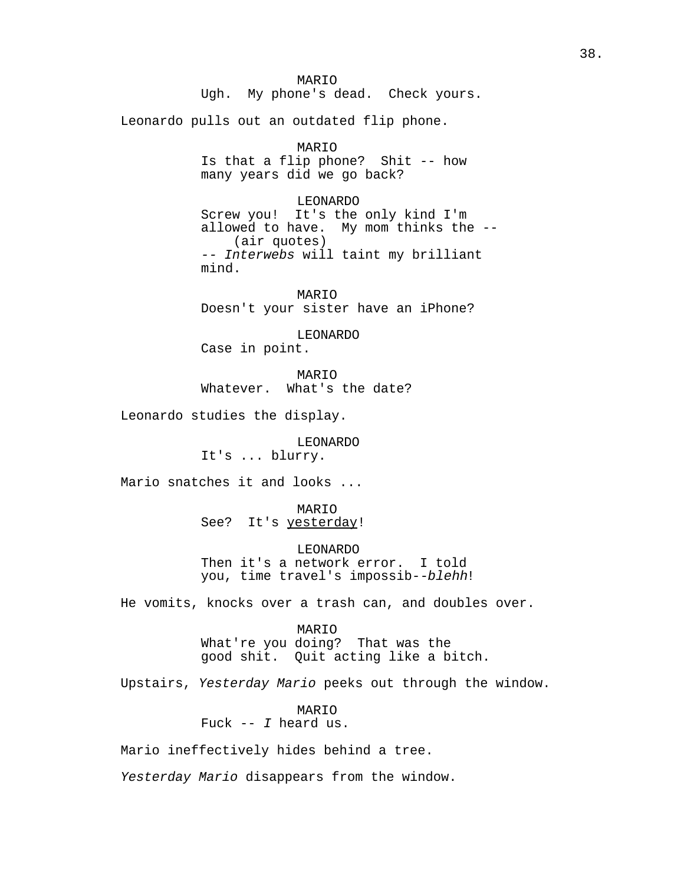MARIO Ugh. My phone's dead. Check yours. Leonardo pulls out an outdated flip phone. MARIO Is that a flip phone? Shit -- how many years did we go back? LEONARDO Screw you! It's the only kind I'm allowed to have. My mom thinks the -- (air quotes) -- Interwebs will taint my brilliant mind. MARIO Doesn't your sister have an iPhone? LEONARDO Case in point. MARIO Whatever. What's the date? Leonardo studies the display. LEONARDO It's ... blurry. Mario snatches it and looks ... MARIO See? It's yesterday! LEONARDO Then it's a network error. I told you, time travel's impossib--blehh! He vomits, knocks over a trash can, and doubles over. MARIO What're you doing? That was the good shit. Quit acting like a bitch. Upstairs, Yesterday Mario peeks out through the window. MARIO Fuck  $-$ - I heard us. Mario ineffectively hides behind a tree.

Yesterday Mario disappears from the window.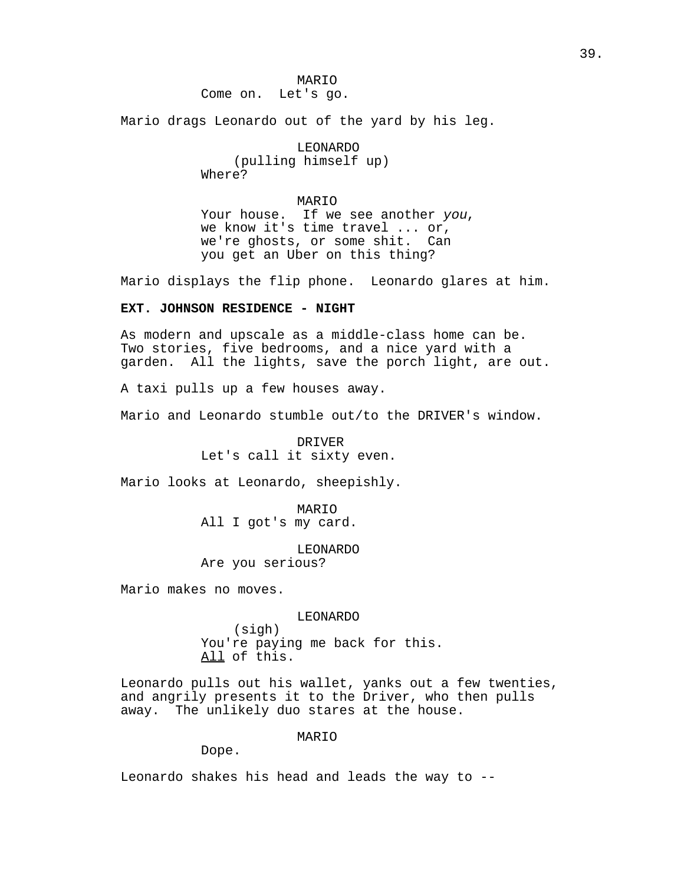MARIO Come on. Let's go.

Mario drags Leonardo out of the yard by his leg.

LEONARDO (pulling himself up) Where?

MARIO Your house. If we see another you, we know it's time travel ... or, we're ghosts, or some shit. Can you get an Uber on this thing?

Mario displays the flip phone. Leonardo glares at him.

# **EXT. JOHNSON RESIDENCE - NIGHT**

As modern and upscale as a middle-class home can be. Two stories, five bedrooms, and a nice yard with a garden. All the lights, save the porch light, are out.

A taxi pulls up a few houses away.

Mario and Leonardo stumble out/to the DRIVER's window.

DRIVER Let's call it sixty even.

Mario looks at Leonardo, sheepishly.

MARIO All I got's my card.

LEONARDO

Are you serious?

Mario makes no moves.

#### LEONARDO

(sigh) You're paying me back for this. All of this.

Leonardo pulls out his wallet, yanks out a few twenties, and angrily presents it to the Driver, who then pulls away. The unlikely duo stares at the house.

MARIO

Dope.

Leonardo shakes his head and leads the way to --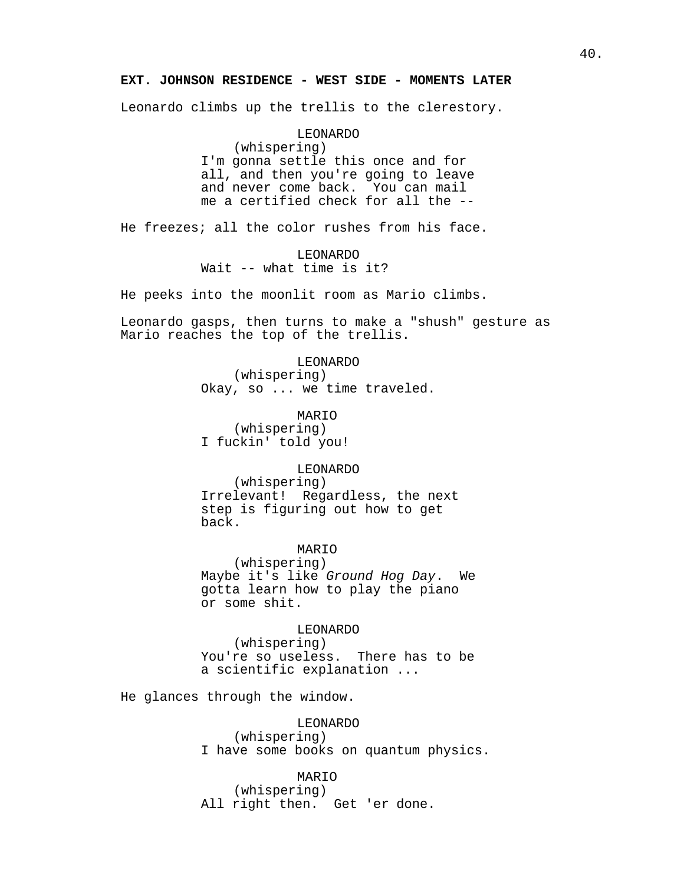# **EXT. JOHNSON RESIDENCE - WEST SIDE - MOMENTS LATER**

Leonardo climbs up the trellis to the clerestory.

LEONARDO (whispering) I'm gonna settle this once and for all, and then you're going to leave and never come back. You can mail me a certified check for all the --

He freezes; all the color rushes from his face.

LEONARDO Wait -- what time is it?

He peeks into the moonlit room as Mario climbs.

Leonardo gasps, then turns to make a "shush" gesture as Mario reaches the top of the trellis.

> LEONARDO (whispering)

Okay, so ... we time traveled.

MARIO (whispering) I fuckin' told you!

LEONARDO

(whispering) Irrelevant! Regardless, the next step is figuring out how to get back.

MARIO

(whispering) Maybe it's like Ground Hog Day. We gotta learn how to play the piano or some shit.

LEONARDO

(whispering) You're so useless. There has to be a scientific explanation ...

He glances through the window.

LEONARDO (whispering) I have some books on quantum physics.

MARIO (whispering) All right then. Get 'er done.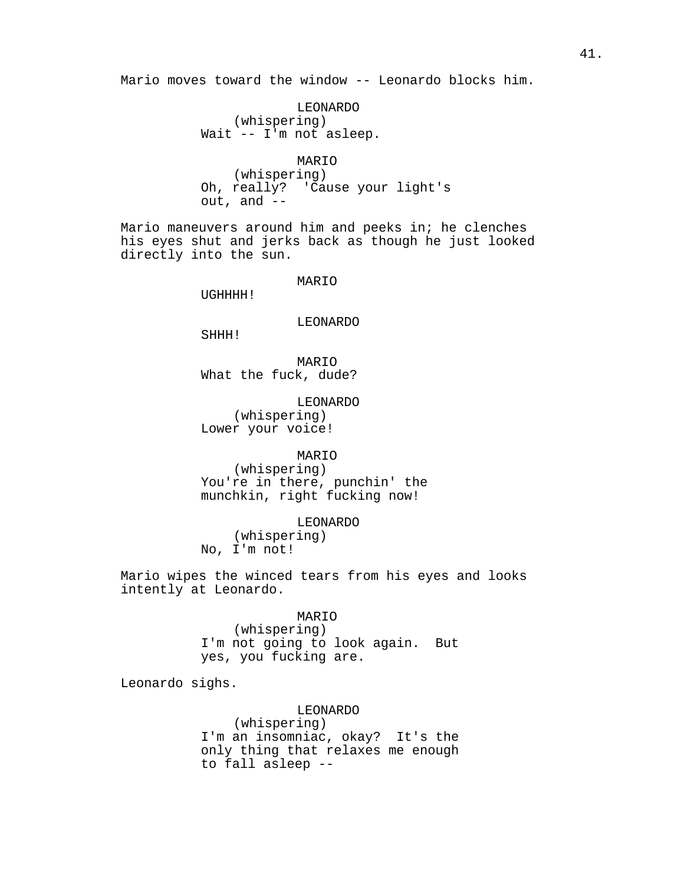Mario moves toward the window -- Leonardo blocks him.

LEONARDO (whispering) Wait -- I'm not asleep.

MARIO (whispering) Oh, really? 'Cause your light's out, and --

Mario maneuvers around him and peeks in; he clenches his eyes shut and jerks back as though he just looked directly into the sun.

MARIO

UGHHHH!

LEONARDO

SHHH!

MARIO What the fuck, dude?

LEONARDO (whispering) Lower your voice!

MARIO (whispering) You're in there, punchin' the munchkin, right fucking now!

LEONARDO (whispering) No, I'm not!

Mario wipes the winced tears from his eyes and looks intently at Leonardo.

MARIO

(whispering) I'm not going to look again. But yes, you fucking are.

Leonardo sighs.

LEONARDO (whispering) I'm an insomniac, okay? It's the only thing that relaxes me enough to fall asleep --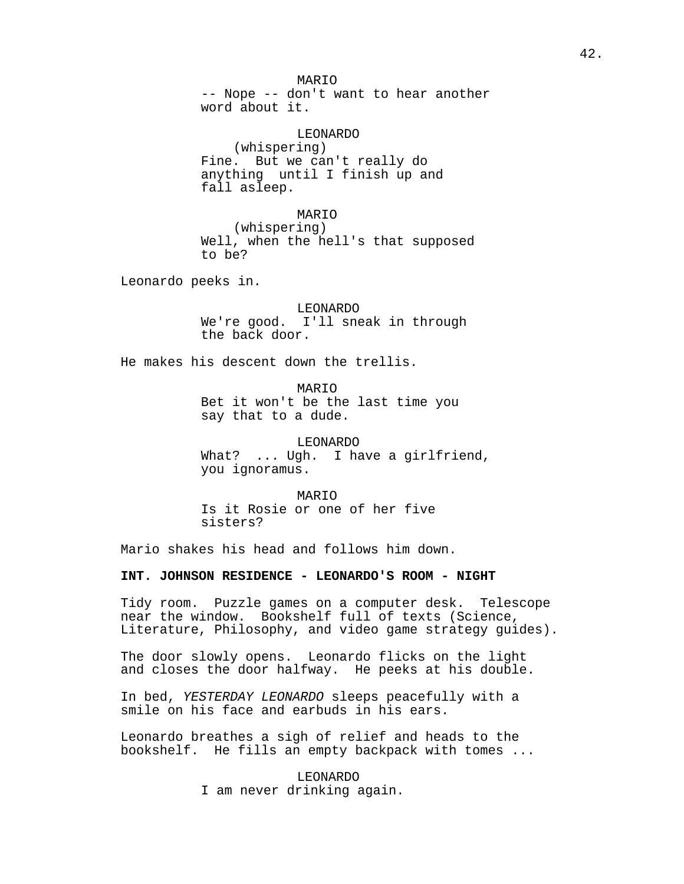MARIO -- Nope -- don't want to hear another word about it.

LEONARDO (whispering) Fine. But we can't really do anything until I finish up and fall asleep.

MARIO

(whispering) Well, when the hell's that supposed to be?

Leonardo peeks in.

LEONARDO We're good. I'll sneak in through the back door.

He makes his descent down the trellis.

MARIO Bet it won't be the last time you say that to a dude.

LEONARDO What? ... Ugh. I have a girlfriend, you ignoramus.

MARIO Is it Rosie or one of her five sisters?

Mario shakes his head and follows him down.

**INT. JOHNSON RESIDENCE - LEONARDO'S ROOM - NIGHT**

Tidy room. Puzzle games on a computer desk. Telescope near the window. Bookshelf full of texts (Science, Literature, Philosophy, and video game strategy guides).

The door slowly opens. Leonardo flicks on the light and closes the door halfway. He peeks at his double.

In bed, YESTERDAY LEONARDO sleeps peacefully with a smile on his face and earbuds in his ears.

Leonardo breathes a sigh of relief and heads to the bookshelf. He fills an empty backpack with tomes ...

> LEONARDO I am never drinking again.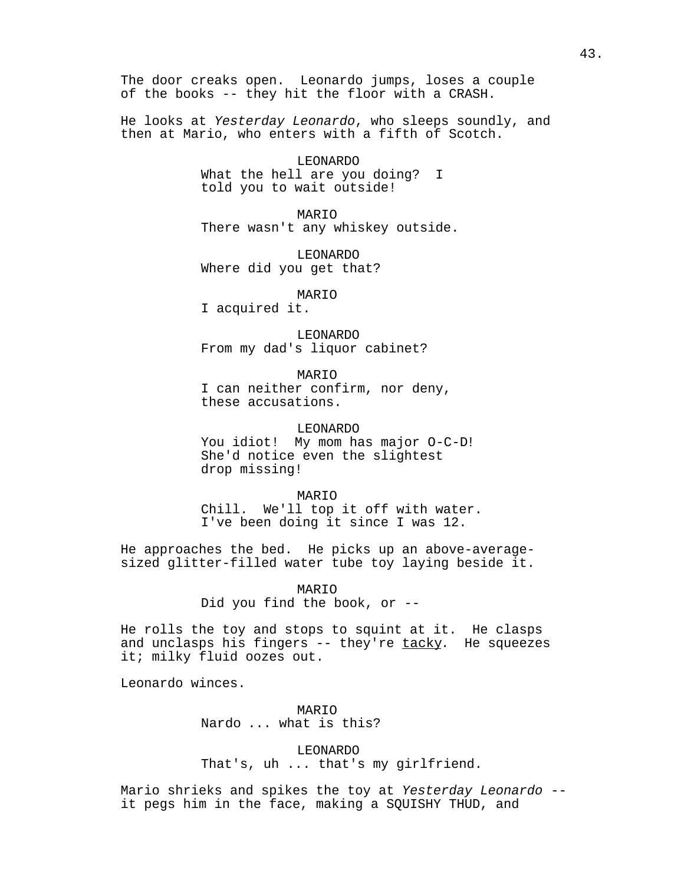The door creaks open. Leonardo jumps, loses a couple of the books -- they hit the floor with a CRASH.

He looks at Yesterday Leonardo, who sleeps soundly, and then at Mario, who enters with a fifth of Scotch.

> LEONARDO What the hell are you doing? I told you to wait outside!

MARIO There wasn't any whiskey outside.

LEONARDO Where did you get that?

MARIO

I acquired it.

LEONARDO From my dad's liquor cabinet?

MARIO I can neither confirm, nor deny, these accusations.

LEONARDO You idiot! My mom has major O-C-D! She'd notice even the slightest drop missing!

MARIO

Chill. We'll top it off with water. I've been doing it since I was 12.

He approaches the bed. He picks up an above-averagesized glitter-filled water tube toy laying beside it.

> MARIO Did you find the book, or --

He rolls the toy and stops to squint at it. He clasps and unclasps his fingers  $--$  they're  $\text{tacky}$ . He squeezes it; milky fluid oozes out.

Leonardo winces.

MARIO Nardo ... what is this?

LEONARDO That's, uh ... that's my girlfriend.

Mario shrieks and spikes the toy at Yesterday Leonardo - it pegs him in the face, making a SQUISHY THUD, and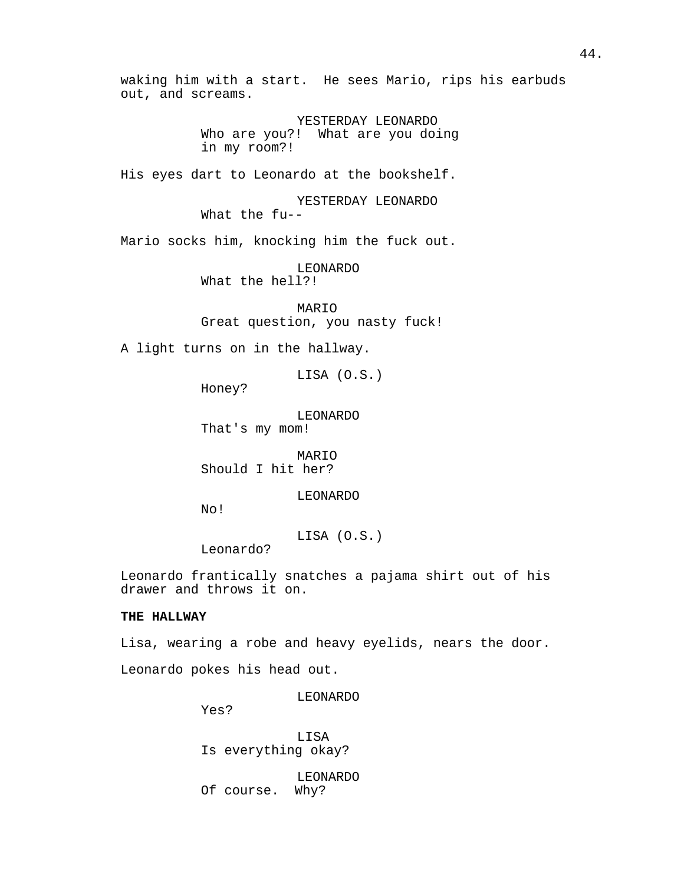waking him with a start. He sees Mario, rips his earbuds out, and screams. YESTERDAY LEONARDO Who are you?! What are you doing in my room?! His eyes dart to Leonardo at the bookshelf. YESTERDAY LEONARDO What the fu-- Mario socks him, knocking him the fuck out. LEONARDO What the hell?! MARIO Great question, you nasty fuck! A light turns on in the hallway. LISA (O.S.) Honey? LEONARDO That's my mom! MARIO Should I hit her? LEONARDO No! LISA (O.S.) Leonardo? Leonardo frantically snatches a pajama shirt out of his drawer and throws it on. **THE HALLWAY** Lisa, wearing a robe and heavy eyelids, nears the door. Leonardo pokes his head out.

LEONARDO

Yes?

LISA Is everything okay?

LEONARDO Of course. Why?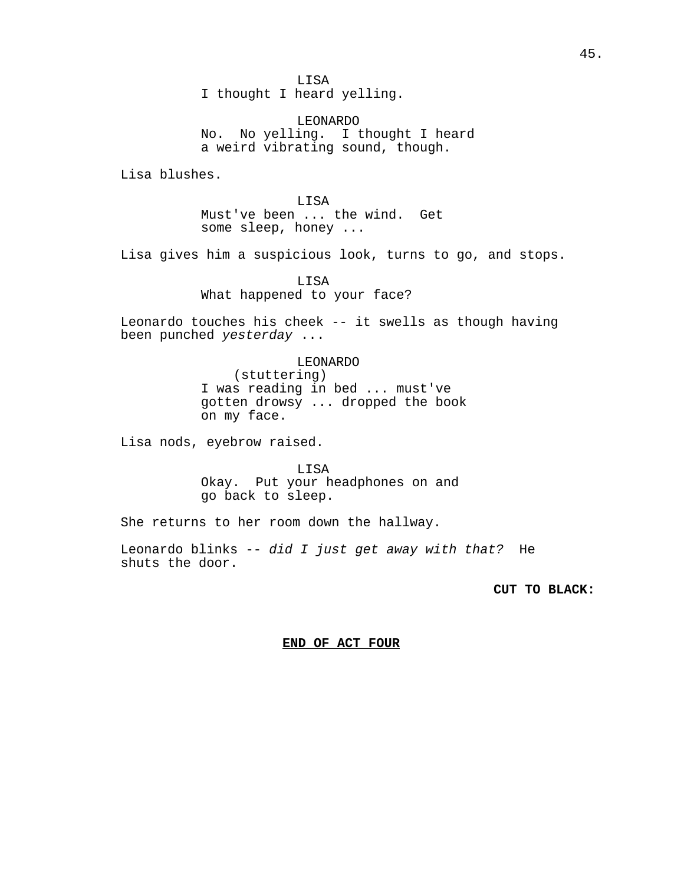LISA I thought I heard yelling.

LEONARDO No. No yelling. I thought I heard a weird vibrating sound, though.

Lisa blushes.

LISA Must've been ... the wind. Get some sleep, honey ...

Lisa gives him a suspicious look, turns to go, and stops.

LISA What happened to your face?

Leonardo touches his cheek -- it swells as though having been punched yesterday ...

## LEONARDO

(stuttering) I was reading in bed ... must've gotten drowsy ... dropped the book on my face.

Lisa nods, eyebrow raised.

LISA Okay. Put your headphones on and go back to sleep.

She returns to her room down the hallway.

Leonardo blinks -- did I just get away with that? He shuts the door.

**CUT TO BLACK:** 

# **END OF ACT FOUR**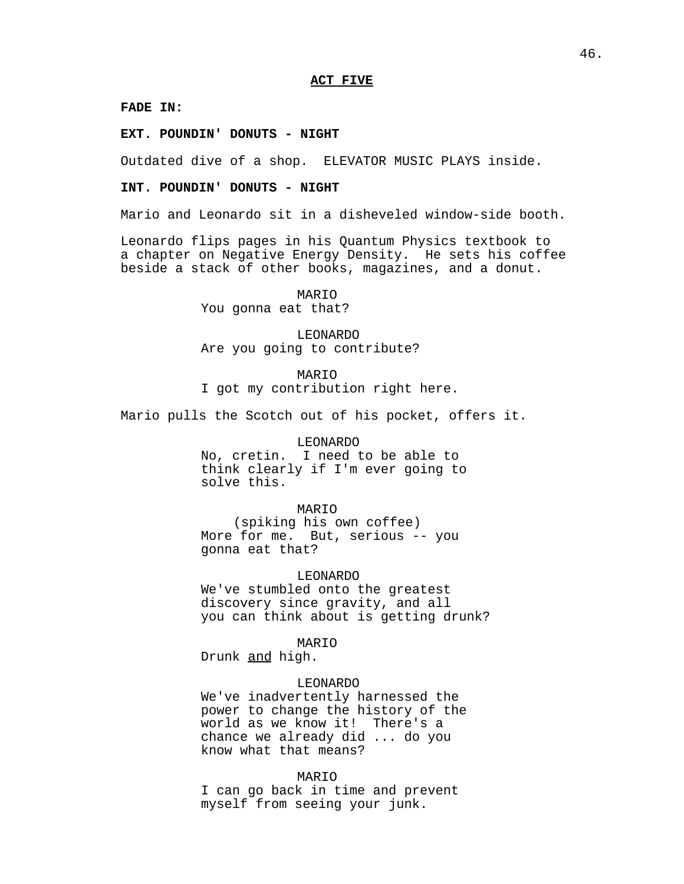#### **ACT FIVE**

#### **FADE IN:**

**EXT. POUNDIN' DONUTS - NIGHT**

Outdated dive of a shop. ELEVATOR MUSIC PLAYS inside.

## **INT. POUNDIN' DONUTS - NIGHT**

Mario and Leonardo sit in a disheveled window-side booth.

Leonardo flips pages in his Quantum Physics textbook to a chapter on Negative Energy Density. He sets his coffee beside a stack of other books, magazines, and a donut.

> MARIO You gonna eat that?

LEONARDO Are you going to contribute?

MARIO I got my contribution right here.

Mario pulls the Scotch out of his pocket, offers it.

#### LEONARDO

No, cretin. I need to be able to think clearly if I'm ever going to solve this.

#### MARIO

(spiking his own coffee) More for me. But, serious -- you gonna eat that?

LEONARDO

We've stumbled onto the greatest discovery since gravity, and all you can think about is getting drunk?

MARIO

Drunk and high.

#### LEONARDO

We've inadvertently harnessed the power to change the history of the world as we know it! There's a chance we already did ... do you know what that means?

#### MARIO

I can go back in time and prevent myself from seeing your junk.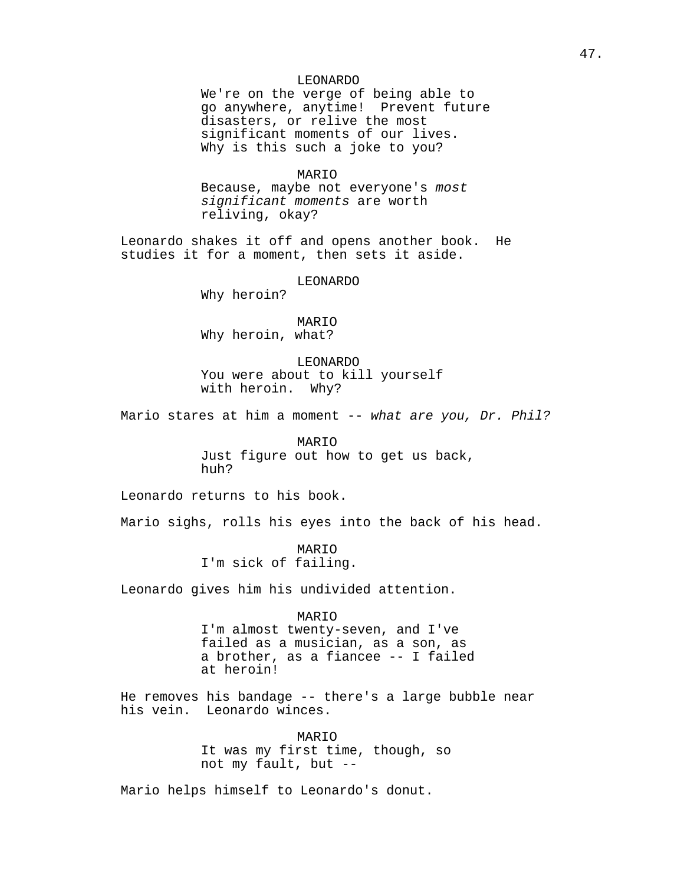# LEONARDO

We're on the verge of being able to go anywhere, anytime! Prevent future disasters, or relive the most significant moments of our lives. Why is this such a joke to you?

## MARIO

Because, maybe not everyone's most significant moments are worth reliving, okay?

Leonardo shakes it off and opens another book. He studies it for a moment, then sets it aside.

LEONARDO

Why heroin?

# MARIO

Why heroin, what?

## LEONARDO

You were about to kill yourself with heroin. Why?

Mario stares at him a moment -- what are you, Dr. Phil?

MARIO Just figure out how to get us back, huh?

Leonardo returns to his book.

Mario sighs, rolls his eyes into the back of his head.

MARIO I'm sick of failing.

Leonardo gives him his undivided attention.

#### MARIO

I'm almost twenty-seven, and I've failed as a musician, as a son, as a brother, as a fiancee -- I failed at heroin!

He removes his bandage -- there's a large bubble near his vein. Leonardo winces.

> MARIO It was my first time, though, so not my fault, but --

Mario helps himself to Leonardo's donut.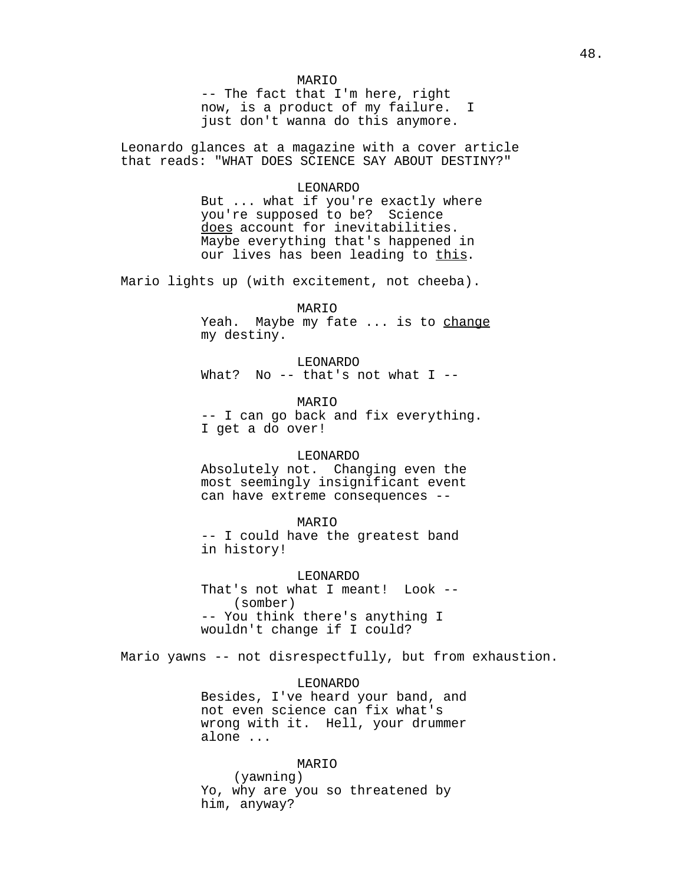-- The fact that I'm here, right now, is a product of my failure. I just don't wanna do this anymore.

Leonardo glances at a magazine with a cover article that reads: "WHAT DOES SCIENCE SAY ABOUT DESTINY?"

> LEONARDO But ... what if you're exactly where you're supposed to be? Science does account for inevitabilities. Maybe everything that's happened in our lives has been leading to this.

Mario lights up (with excitement, not cheeba).

#### MARIO

Yeah. Maybe my fate ... is to change my destiny.

LEONARDO What? No  $--$  that's not what I  $--$ 

MARIO -- I can go back and fix everything. I get a do over!

#### LEONARDO

Absolutely not. Changing even the most seemingly insignificant event can have extreme consequences --

## MARIO

-- I could have the greatest band in history!

LEONARDO That's not what I meant! Look -- (somber) -- You think there's anything I wouldn't change if I could?

Mario yawns -- not disrespectfully, but from exhaustion.

#### LEONARDO

Besides, I've heard your band, and not even science can fix what's wrong with it. Hell, your drummer alone ...

#### MARIO

(yawning) Yo, why are you so threatened by him, anyway?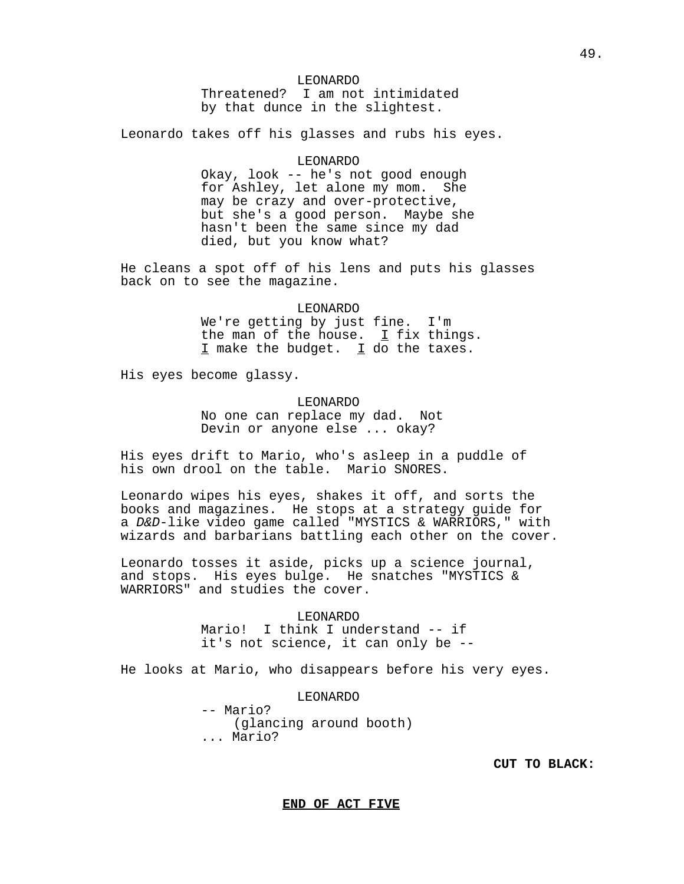## LEONARDO

Threatened? I am not intimidated by that dunce in the slightest.

Leonardo takes off his glasses and rubs his eyes.

#### LEONARDO

Okay, look -- he's not good enough for Ashley, let alone my mom. She may be crazy and over-protective, but she's a good person. Maybe she hasn't been the same since my dad died, but you know what?

He cleans a spot off of his lens and puts his glasses back on to see the magazine.

# LEONARDO

We're getting by just fine. I'm the man of the house.  $I$  fix things. I make the budget. I do the taxes.

His eyes become glassy.

#### LEONARDO

No one can replace my dad. Not Devin or anyone else ... okay?

His eyes drift to Mario, who's asleep in a puddle of his own drool on the table. Mario SNORES.

Leonardo wipes his eyes, shakes it off, and sorts the books and magazines. He stops at a strategy guide for a D&D-like video game called "MYSTICS & WARRIORS," with wizards and barbarians battling each other on the cover.

Leonardo tosses it aside, picks up a science journal, and stops. His eyes bulge. He snatches "MYSTICS & WARRIORS" and studies the cover.

# LEONARDO

Mario! I think I understand -- if it's not science, it can only be --

He looks at Mario, who disappears before his very eyes.

# LEONARDO

-- Mario? (glancing around booth) ... Mario?

**CUT TO BLACK:** 

**END OF ACT FIVE**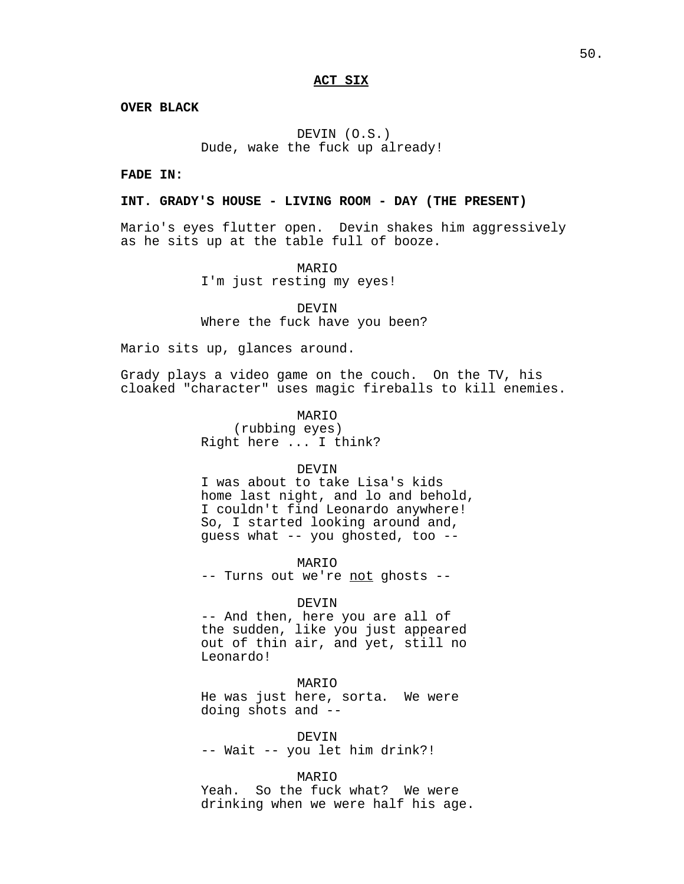# **ACT SIX**

**OVER BLACK**

DEVIN (O.S.) Dude, wake the fuck up already!

**FADE IN:**

### **INT. GRADY'S HOUSE - LIVING ROOM - DAY (THE PRESENT)**

Mario's eyes flutter open. Devin shakes him aggressively as he sits up at the table full of booze.

> MARIO I'm just resting my eyes!

DEVIN Where the fuck have you been?

Mario sits up, glances around.

Grady plays a video game on the couch. On the TV, his cloaked "character" uses magic fireballs to kill enemies.

> MARIO (rubbing eyes) Right here ... I think?

#### DEVIN

I was about to take Lisa's kids home last night, and lo and behold, I couldn't find Leonardo anywhere! So, I started looking around and, guess what -- you ghosted, too --

MARIO

-- Turns out we're not ghosts --

#### DEVIN

-- And then, here you are all of the sudden, like you just appeared out of thin air, and yet, still no Leonardo!

#### MARIO

He was just here, sorta. We were doing shots and --

DEVIN -- Wait -- you let him drink?!

MARIO

Yeah. So the fuck what? We were drinking when we were half his age.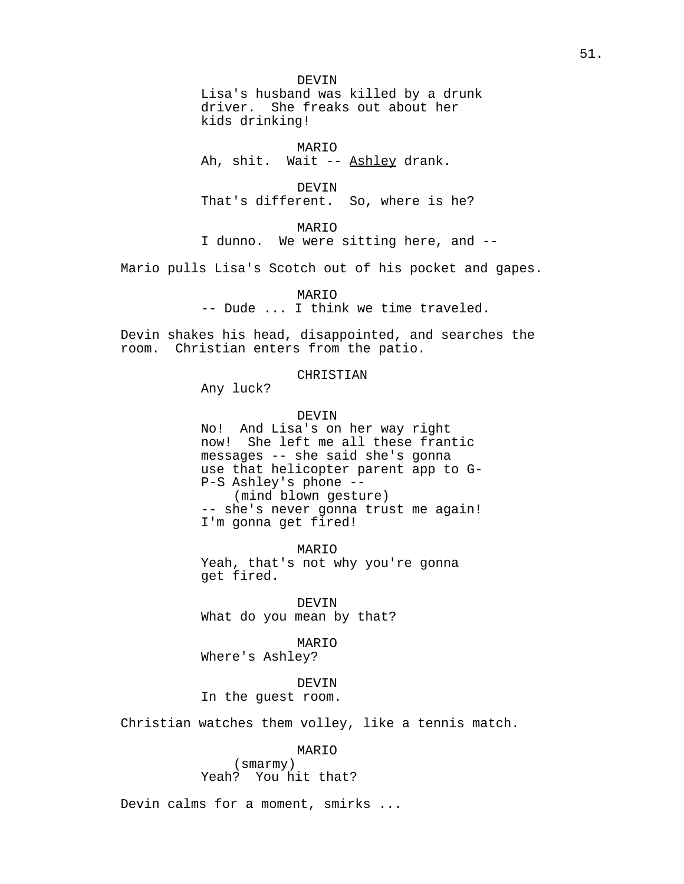DEVIN Lisa's husband was killed by a drunk driver. She freaks out about her kids drinking!

MARIO Ah, shit. Wait -- Ashley drank.

DEVIN That's different. So, where is he?

MARIO

I dunno. We were sitting here, and --

Mario pulls Lisa's Scotch out of his pocket and gapes.

MARIO

-- Dude ... I think we time traveled.

Devin shakes his head, disappointed, and searches the room. Christian enters from the patio.

# CHRISTIAN

Any luck?

#### DEVIN

No! And Lisa's on her way right now! She left me all these frantic messages -- she said she's gonna use that helicopter parent app to G-P-S Ashley's phone -- (mind blown gesture) -- she's never gonna trust me again! I'm gonna get fired!

MARIO Yeah, that's not why you're gonna get fired.

DEVIN What do you mean by that?

MARIO Where's Ashley?

DEVIN In the guest room.

Christian watches them volley, like a tennis match.

MARIO

(smarmy) Yeah? You hit that?

Devin calms for a moment, smirks ...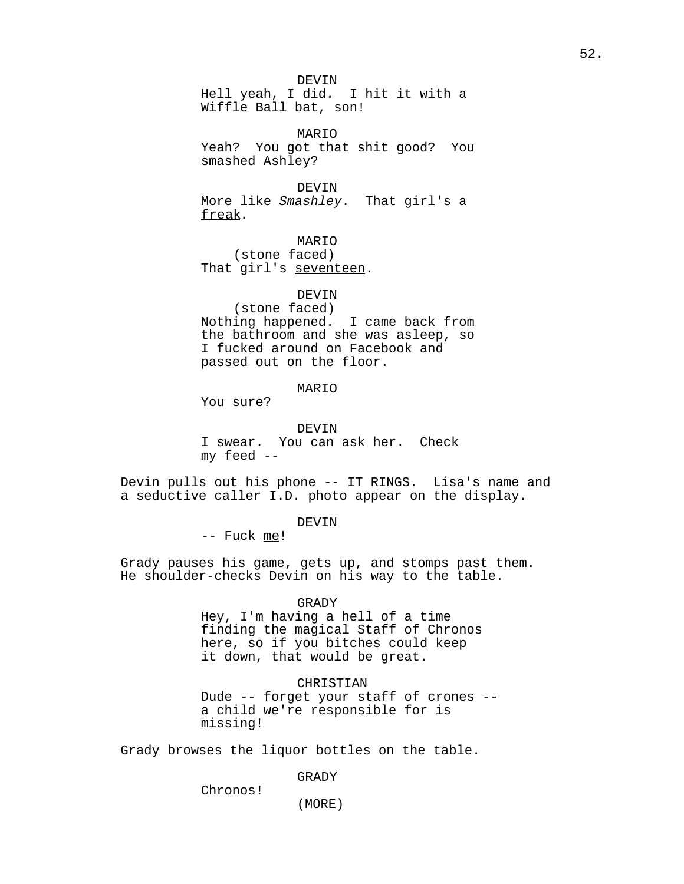DEVIN Hell yeah, I did. I hit it with a Wiffle Ball bat, son!

MARIO Yeah? You got that shit good? You smashed Ashley?

DEVIN More like Smashley. That girl's a freak.

MARIO (stone faced) That girl's seventeen.

# DEVIN

(stone faced) Nothing happened. I came back from the bathroom and she was asleep, so I fucked around on Facebook and passed out on the floor.

## MARIO

You sure?

## DEVIN

I swear. You can ask her. Check my feed --

Devin pulls out his phone -- IT RINGS. Lisa's name and a seductive caller I.D. photo appear on the display.

# DEVIN

-- Fuck me!

Grady pauses his game, gets up, and stomps past them. He shoulder-checks Devin on his way to the table.

#### GRADY

Hey, I'm having a hell of a time finding the magical Staff of Chronos here, so if you bitches could keep it down, that would be great.

#### CHRISTIAN

Dude -- forget your staff of crones - a child we're responsible for is missing!

Grady browses the liquor bottles on the table.

#### GRADY

Chronos!

(MORE)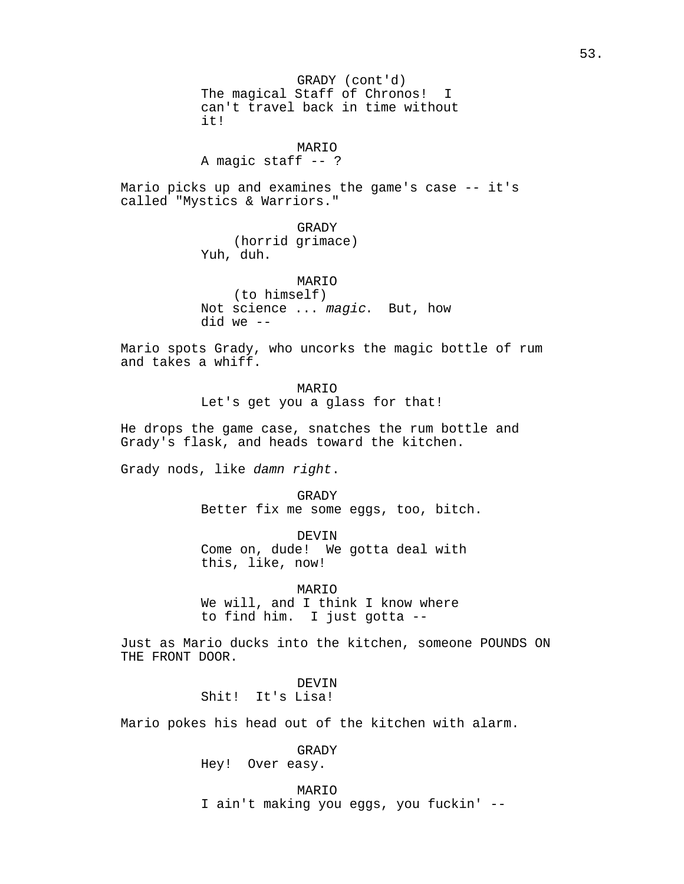GRADY (cont'd) The magical Staff of Chronos! I can't travel back in time without it!

MARIO A magic staff -- ?

Mario picks up and examines the game's case -- it's called "Mystics & Warriors."

> GRADY (horrid grimace) Yuh, duh.

MARIO (to himself) Not science ... magic. But, how did we --

Mario spots Grady, who uncorks the magic bottle of rum and takes a whiff.

> MARIO Let's get you a glass for that!

He drops the game case, snatches the rum bottle and Grady's flask, and heads toward the kitchen.

Grady nods, like damn right.

GRADY Better fix me some eggs, too, bitch.

DEVIN Come on, dude! We gotta deal with this, like, now!

MARIO We will, and I think I know where to find him. I just gotta --

Just as Mario ducks into the kitchen, someone POUNDS ON THE FRONT DOOR.

> DEVIN Shit! It's Lisa!

Mario pokes his head out of the kitchen with alarm.

GRADY Hey! Over easy.

MARIO I ain't making you eggs, you fuckin' --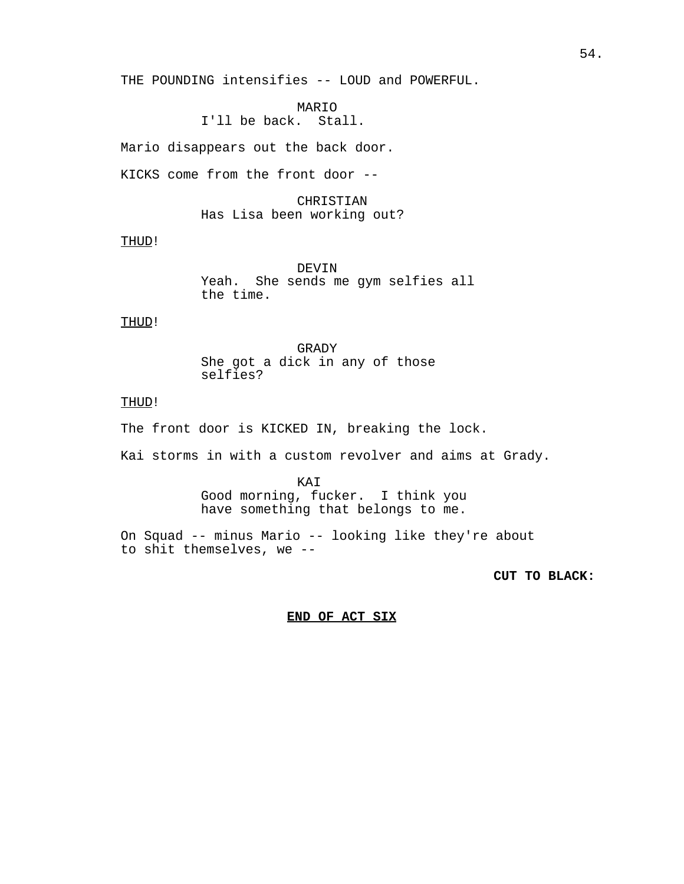THE POUNDING intensifies -- LOUD and POWERFUL.

MARIO I'll be back. Stall.

Mario disappears out the back door.

KICKS come from the front door --

CHRISTIAN Has Lisa been working out?

THUD!

DEVIN Yeah. She sends me gym selfies all the time.

THUD!

GRADY She got a dick in any of those selfies?

# THUD!

The front door is KICKED IN, breaking the lock.

Kai storms in with a custom revolver and aims at Grady.

KAI Good morning, fucker. I think you have something that belongs to me.

On Squad -- minus Mario -- looking like they're about to shit themselves, we --

**CUT TO BLACK:** 

**END OF ACT SIX**